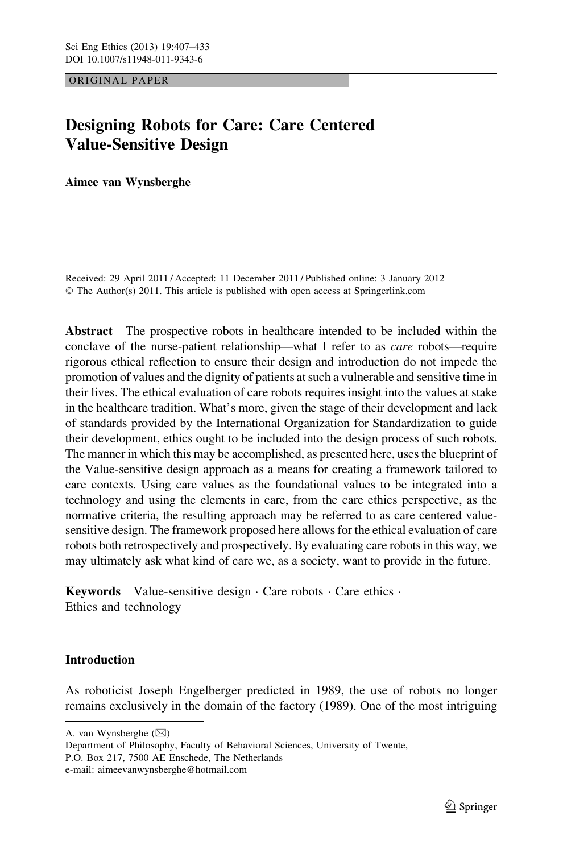ORIGINAL PAPER

# Designing Robots for Care: Care Centered Value-Sensitive Design

Aimee van Wynsberghe

Received: 29 April 2011 / Accepted: 11 December 2011 / Published online: 3 January 2012 © The Author(s) 2011. This article is published with open access at Springerlink.com

Abstract The prospective robots in healthcare intended to be included within the conclave of the nurse-patient relationship—what I refer to as *care* robots—require rigorous ethical reflection to ensure their design and introduction do not impede the promotion of values and the dignity of patients at such a vulnerable and sensitive time in their lives. The ethical evaluation of care robots requires insight into the values at stake in the healthcare tradition. What's more, given the stage of their development and lack of standards provided by the International Organization for Standardization to guide their development, ethics ought to be included into the design process of such robots. The manner in which this may be accomplished, as presented here, uses the blueprint of the Value-sensitive design approach as a means for creating a framework tailored to care contexts. Using care values as the foundational values to be integrated into a technology and using the elements in care, from the care ethics perspective, as the normative criteria, the resulting approach may be referred to as care centered valuesensitive design. The framework proposed here allows for the ethical evaluation of care robots both retrospectively and prospectively. By evaluating care robots in this way, we may ultimately ask what kind of care we, as a society, want to provide in the future.

Keywords Value-sensitive design · Care robots · Care ethics · Ethics and technology

# Introduction

As roboticist Joseph Engelberger predicted in 1989, the use of robots no longer remains exclusively in the domain of the factory (1989). One of the most intriguing

A. van Wynsberghe  $(\boxtimes)$ 

Department of Philosophy, Faculty of Behavioral Sciences, University of Twente, P.O. Box 217, 7500 AE Enschede, The Netherlands

e-mail: aimeevanwynsberghe@hotmail.com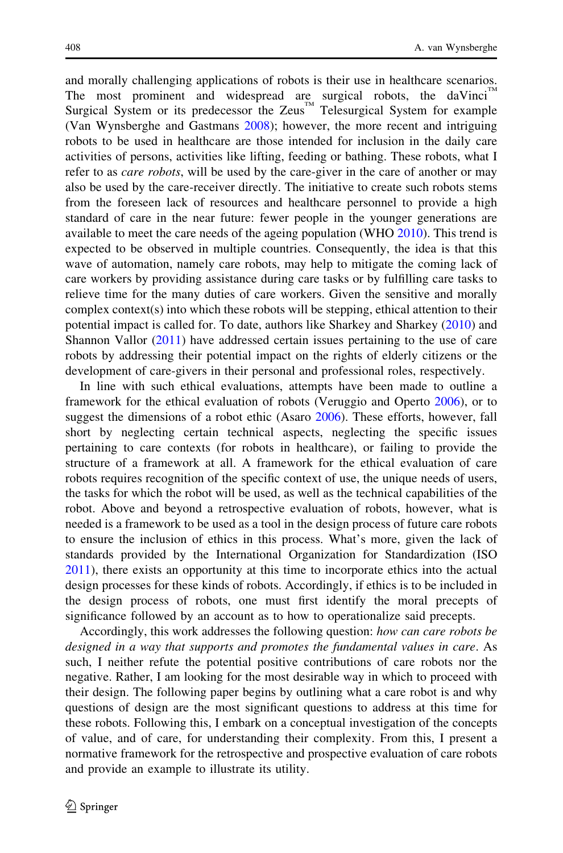and morally challenging applications of robots is their use in healthcare scenarios. The most prominent and widespread are surgical robots, the daVinci<sup>TM</sup> Surgical System or its predecessor the Zeus<sup>TM</sup> Telesurgical System for example (Van Wynsberghe and Gastmans [2008\)](#page-26-0); however, the more recent and intriguing robots to be used in healthcare are those intended for inclusion in the daily care activities of persons, activities like lifting, feeding or bathing. These robots, what I refer to as *care robots*, will be used by the care-giver in the care of another or may also be used by the care-receiver directly. The initiative to create such robots stems from the foreseen lack of resources and healthcare personnel to provide a high standard of care in the near future: fewer people in the younger generations are available to meet the care needs of the ageing population (WHO [2010](#page-26-0)). This trend is expected to be observed in multiple countries. Consequently, the idea is that this wave of automation, namely care robots, may help to mitigate the coming lack of care workers by providing assistance during care tasks or by fulfilling care tasks to relieve time for the many duties of care workers. Given the sensitive and morally complex context(s) into which these robots will be stepping, ethical attention to their potential impact is called for. To date, authors like Sharkey and Sharkey ([2010\)](#page-25-0) and Shannon Vallor ([2011\)](#page-26-0) have addressed certain issues pertaining to the use of care robots by addressing their potential impact on the rights of elderly citizens or the development of care-givers in their personal and professional roles, respectively.

In line with such ethical evaluations, attempts have been made to outline a framework for the ethical evaluation of robots (Veruggio and Operto [2006](#page-26-0)), or to suggest the dimensions of a robot ethic (Asaro [2006](#page-24-0)). These efforts, however, fall short by neglecting certain technical aspects, neglecting the specific issues pertaining to care contexts (for robots in healthcare), or failing to provide the structure of a framework at all. A framework for the ethical evaluation of care robots requires recognition of the specific context of use, the unique needs of users, the tasks for which the robot will be used, as well as the technical capabilities of the robot. Above and beyond a retrospective evaluation of robots, however, what is needed is a framework to be used as a tool in the design process of future care robots to ensure the inclusion of ethics in this process. What's more, given the lack of standards provided by the International Organization for Standardization (ISO [2011\)](#page-25-0), there exists an opportunity at this time to incorporate ethics into the actual design processes for these kinds of robots. Accordingly, if ethics is to be included in the design process of robots, one must first identify the moral precepts of significance followed by an account as to how to operationalize said precepts.

Accordingly, this work addresses the following question: how can care robots be designed in a way that supports and promotes the fundamental values in care. As such, I neither refute the potential positive contributions of care robots nor the negative. Rather, I am looking for the most desirable way in which to proceed with their design. The following paper begins by outlining what a care robot is and why questions of design are the most significant questions to address at this time for these robots. Following this, I embark on a conceptual investigation of the concepts of value, and of care, for understanding their complexity. From this, I present a normative framework for the retrospective and prospective evaluation of care robots and provide an example to illustrate its utility.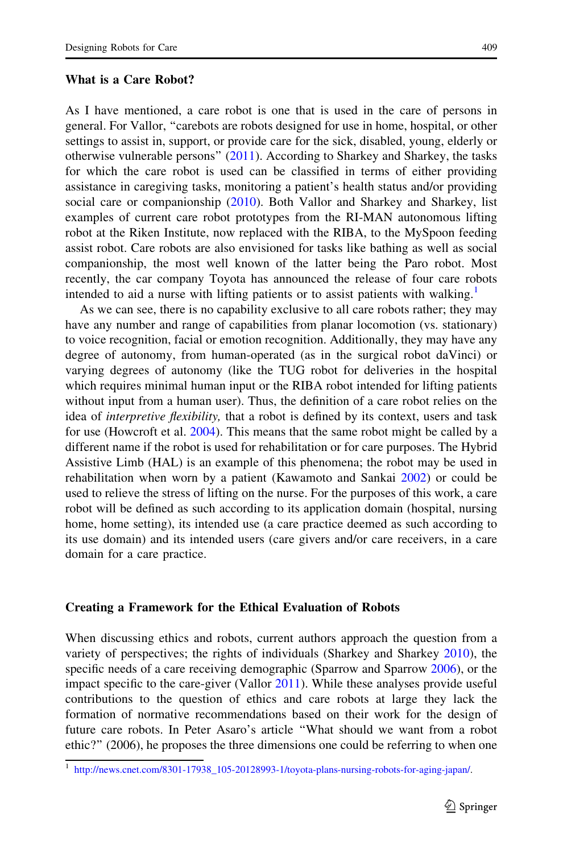#### What is a Care Robot?

As I have mentioned, a care robot is one that is used in the care of persons in general. For Vallor, ''carebots are robots designed for use in home, hospital, or other settings to assist in, support, or provide care for the sick, disabled, young, elderly or otherwise vulnerable persons'' [\(2011](#page-26-0)). According to Sharkey and Sharkey, the tasks for which the care robot is used can be classified in terms of either providing assistance in caregiving tasks, monitoring a patient's health status and/or providing social care or companionship [\(2010](#page-25-0)). Both Vallor and Sharkey and Sharkey, list examples of current care robot prototypes from the RI-MAN autonomous lifting robot at the Riken Institute, now replaced with the RIBA, to the MySpoon feeding assist robot. Care robots are also envisioned for tasks like bathing as well as social companionship, the most well known of the latter being the Paro robot. Most recently, the car company Toyota has announced the release of four care robots intended to aid a nurse with lifting patients or to assist patients with walking.<sup>1</sup>

As we can see, there is no capability exclusive to all care robots rather; they may have any number and range of capabilities from planar locomotion (vs. stationary) to voice recognition, facial or emotion recognition. Additionally, they may have any degree of autonomy, from human-operated (as in the surgical robot daVinci) or varying degrees of autonomy (like the TUG robot for deliveries in the hospital which requires minimal human input or the RIBA robot intended for lifting patients without input from a human user). Thus, the definition of a care robot relies on the idea of *interpretive flexibility*, that a robot is defined by its context, users and task for use (Howcroft et al. [2004](#page-25-0)). This means that the same robot might be called by a different name if the robot is used for rehabilitation or for care purposes. The Hybrid Assistive Limb (HAL) is an example of this phenomena; the robot may be used in rehabilitation when worn by a patient (Kawamoto and Sankai [2002](#page-25-0)) or could be used to relieve the stress of lifting on the nurse. For the purposes of this work, a care robot will be defined as such according to its application domain (hospital, nursing home, home setting), its intended use (a care practice deemed as such according to its use domain) and its intended users (care givers and/or care receivers, in a care domain for a care practice.

#### Creating a Framework for the Ethical Evaluation of Robots

When discussing ethics and robots, current authors approach the question from a variety of perspectives; the rights of individuals (Sharkey and Sharkey [2010\)](#page-25-0), the specific needs of a care receiving demographic (Sparrow and Sparrow [2006](#page-25-0)), or the impact specific to the care-giver (Vallor [2011\)](#page-26-0). While these analyses provide useful contributions to the question of ethics and care robots at large they lack the formation of normative recommendations based on their work for the design of future care robots. In Peter Asaro's article ''What should we want from a robot ethic?'' (2006), he proposes the three dimensions one could be referring to when one

<sup>1</sup> [http://news.cnet.com/8301-17938\\_105-20128993-1/toyota-plans-nursing-robots-for-aging-japan/](http://news.cnet.com/8301-17938_105-20128993-1/toyota-plans-nursing-robots-for-aging-japan/).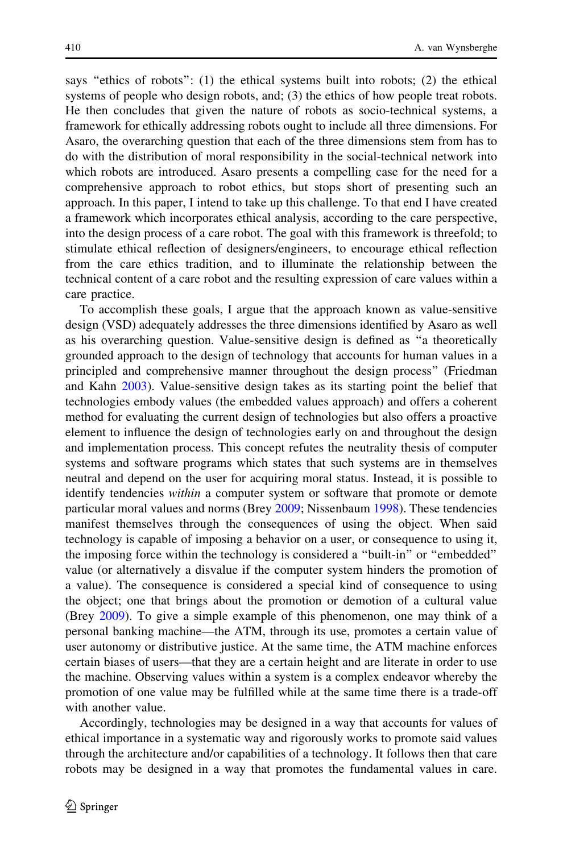says "ethics of robots":  $(1)$  the ethical systems built into robots;  $(2)$  the ethical systems of people who design robots, and; (3) the ethics of how people treat robots. He then concludes that given the nature of robots as socio-technical systems, a framework for ethically addressing robots ought to include all three dimensions. For Asaro, the overarching question that each of the three dimensions stem from has to do with the distribution of moral responsibility in the social-technical network into which robots are introduced. Asaro presents a compelling case for the need for a comprehensive approach to robot ethics, but stops short of presenting such an approach. In this paper, I intend to take up this challenge. To that end I have created a framework which incorporates ethical analysis, according to the care perspective, into the design process of a care robot. The goal with this framework is threefold; to stimulate ethical reflection of designers/engineers, to encourage ethical reflection from the care ethics tradition, and to illuminate the relationship between the technical content of a care robot and the resulting expression of care values within a care practice.

To accomplish these goals, I argue that the approach known as value-sensitive design (VSD) adequately addresses the three dimensions identified by Asaro as well as his overarching question. Value-sensitive design is defined as ''a theoretically grounded approach to the design of technology that accounts for human values in a principled and comprehensive manner throughout the design process'' (Friedman and Kahn [2003](#page-25-0)). Value-sensitive design takes as its starting point the belief that technologies embody values (the embedded values approach) and offers a coherent method for evaluating the current design of technologies but also offers a proactive element to influence the design of technologies early on and throughout the design and implementation process. This concept refutes the neutrality thesis of computer systems and software programs which states that such systems are in themselves neutral and depend on the user for acquiring moral status. Instead, it is possible to identify tendencies *within* a computer system or software that promote or demote particular moral values and norms (Brey [2009;](#page-24-0) Nissenbaum [1998\)](#page-25-0). These tendencies manifest themselves through the consequences of using the object. When said technology is capable of imposing a behavior on a user, or consequence to using it, the imposing force within the technology is considered a ''built-in'' or ''embedded'' value (or alternatively a disvalue if the computer system hinders the promotion of a value). The consequence is considered a special kind of consequence to using the object; one that brings about the promotion or demotion of a cultural value (Brey [2009\)](#page-24-0). To give a simple example of this phenomenon, one may think of a personal banking machine—the ATM, through its use, promotes a certain value of user autonomy or distributive justice. At the same time, the ATM machine enforces certain biases of users—that they are a certain height and are literate in order to use the machine. Observing values within a system is a complex endeavor whereby the promotion of one value may be fulfilled while at the same time there is a trade-off with another value.

Accordingly, technologies may be designed in a way that accounts for values of ethical importance in a systematic way and rigorously works to promote said values through the architecture and/or capabilities of a technology. It follows then that care robots may be designed in a way that promotes the fundamental values in care.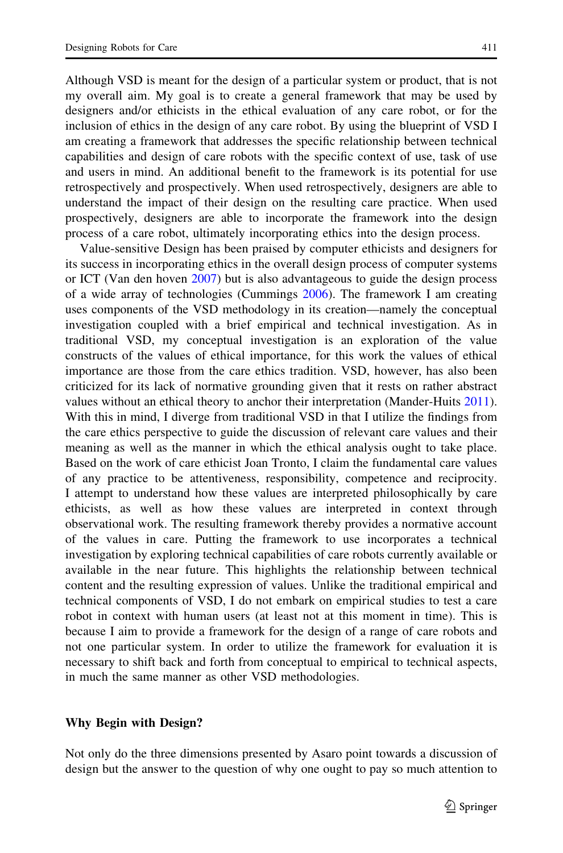Although VSD is meant for the design of a particular system or product, that is not my overall aim. My goal is to create a general framework that may be used by designers and/or ethicists in the ethical evaluation of any care robot, or for the inclusion of ethics in the design of any care robot. By using the blueprint of VSD I am creating a framework that addresses the specific relationship between technical capabilities and design of care robots with the specific context of use, task of use and users in mind. An additional benefit to the framework is its potential for use retrospectively and prospectively. When used retrospectively, designers are able to understand the impact of their design on the resulting care practice. When used prospectively, designers are able to incorporate the framework into the design process of a care robot, ultimately incorporating ethics into the design process.

Value-sensitive Design has been praised by computer ethicists and designers for its success in incorporating ethics in the overall design process of computer systems or ICT (Van den hoven [2007](#page-26-0)) but is also advantageous to guide the design process of a wide array of technologies (Cummings [2006](#page-24-0)). The framework I am creating uses components of the VSD methodology in its creation—namely the conceptual investigation coupled with a brief empirical and technical investigation. As in traditional VSD, my conceptual investigation is an exploration of the value constructs of the values of ethical importance, for this work the values of ethical importance are those from the care ethics tradition. VSD, however, has also been criticized for its lack of normative grounding given that it rests on rather abstract values without an ethical theory to anchor their interpretation (Mander-Huits [2011\)](#page-25-0). With this in mind, I diverge from traditional VSD in that I utilize the findings from the care ethics perspective to guide the discussion of relevant care values and their meaning as well as the manner in which the ethical analysis ought to take place. Based on the work of care ethicist Joan Tronto, I claim the fundamental care values of any practice to be attentiveness, responsibility, competence and reciprocity. I attempt to understand how these values are interpreted philosophically by care ethicists, as well as how these values are interpreted in context through observational work. The resulting framework thereby provides a normative account of the values in care. Putting the framework to use incorporates a technical investigation by exploring technical capabilities of care robots currently available or available in the near future. This highlights the relationship between technical content and the resulting expression of values. Unlike the traditional empirical and technical components of VSD, I do not embark on empirical studies to test a care robot in context with human users (at least not at this moment in time). This is because I aim to provide a framework for the design of a range of care robots and not one particular system. In order to utilize the framework for evaluation it is necessary to shift back and forth from conceptual to empirical to technical aspects, in much the same manner as other VSD methodologies.

# Why Begin with Design?

Not only do the three dimensions presented by Asaro point towards a discussion of design but the answer to the question of why one ought to pay so much attention to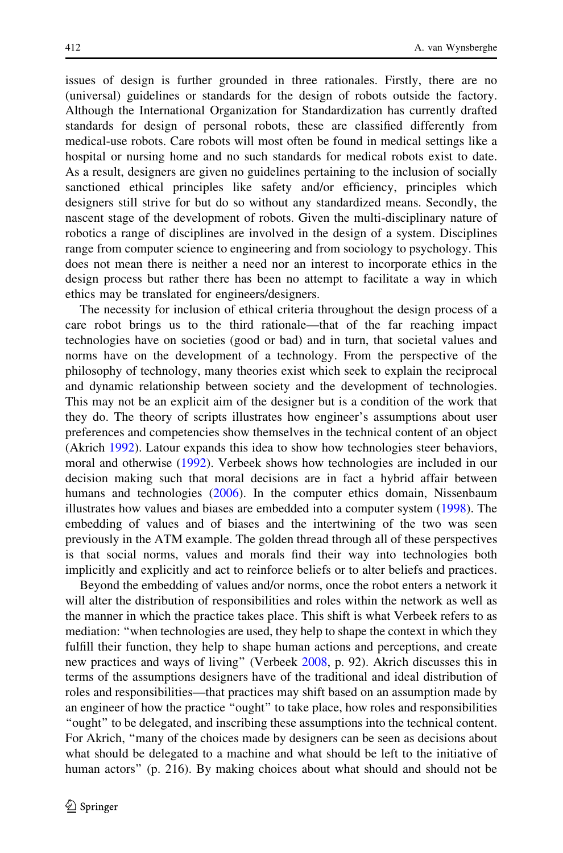issues of design is further grounded in three rationales. Firstly, there are no (universal) guidelines or standards for the design of robots outside the factory. Although the International Organization for Standardization has currently drafted standards for design of personal robots, these are classified differently from medical-use robots. Care robots will most often be found in medical settings like a hospital or nursing home and no such standards for medical robots exist to date. As a result, designers are given no guidelines pertaining to the inclusion of socially sanctioned ethical principles like safety and/or efficiency, principles which designers still strive for but do so without any standardized means. Secondly, the nascent stage of the development of robots. Given the multi-disciplinary nature of robotics a range of disciplines are involved in the design of a system. Disciplines range from computer science to engineering and from sociology to psychology. This does not mean there is neither a need nor an interest to incorporate ethics in the design process but rather there has been no attempt to facilitate a way in which ethics may be translated for engineers/designers.

The necessity for inclusion of ethical criteria throughout the design process of a care robot brings us to the third rationale—that of the far reaching impact technologies have on societies (good or bad) and in turn, that societal values and norms have on the development of a technology. From the perspective of the philosophy of technology, many theories exist which seek to explain the reciprocal and dynamic relationship between society and the development of technologies. This may not be an explicit aim of the designer but is a condition of the work that they do. The theory of scripts illustrates how engineer's assumptions about user preferences and competencies show themselves in the technical content of an object (Akrich [1992](#page-24-0)). Latour expands this idea to show how technologies steer behaviors, moral and otherwise [\(1992](#page-25-0)). Verbeek shows how technologies are included in our decision making such that moral decisions are in fact a hybrid affair between humans and technologies ([2006\)](#page-26-0). In the computer ethics domain, Nissenbaum illustrates how values and biases are embedded into a computer system [\(1998](#page-25-0)). The embedding of values and of biases and the intertwining of the two was seen previously in the ATM example. The golden thread through all of these perspectives is that social norms, values and morals find their way into technologies both implicitly and explicitly and act to reinforce beliefs or to alter beliefs and practices.

Beyond the embedding of values and/or norms, once the robot enters a network it will alter the distribution of responsibilities and roles within the network as well as the manner in which the practice takes place. This shift is what Verbeek refers to as mediation: ''when technologies are used, they help to shape the context in which they fulfill their function, they help to shape human actions and perceptions, and create new practices and ways of living'' (Verbeek [2008,](#page-26-0) p. 92). Akrich discusses this in terms of the assumptions designers have of the traditional and ideal distribution of roles and responsibilities—that practices may shift based on an assumption made by an engineer of how the practice ''ought'' to take place, how roles and responsibilities "ought" to be delegated, and inscribing these assumptions into the technical content. For Akrich, ''many of the choices made by designers can be seen as decisions about what should be delegated to a machine and what should be left to the initiative of human actors'' (p. 216). By making choices about what should and should not be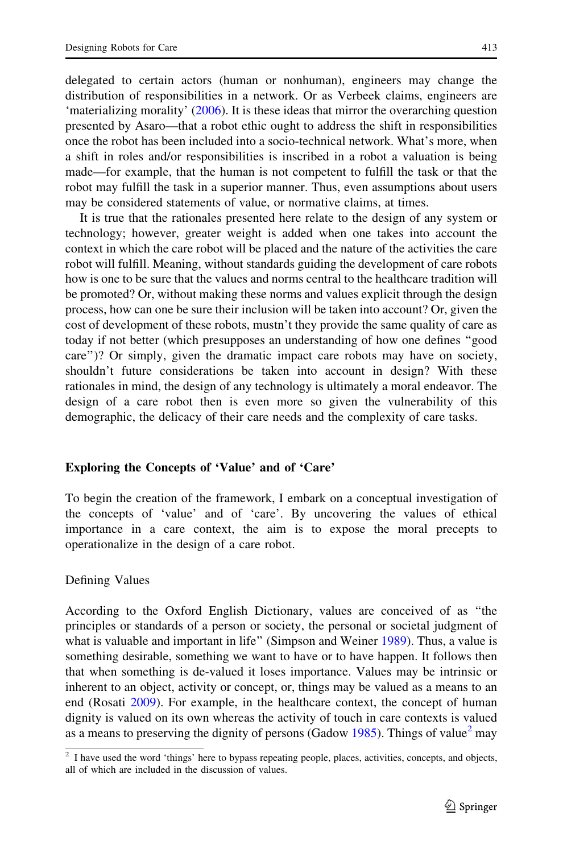delegated to certain actors (human or nonhuman), engineers may change the distribution of responsibilities in a network. Or as Verbeek claims, engineers are 'materializing morality' ([2006\)](#page-26-0). It is these ideas that mirror the overarching question presented by Asaro—that a robot ethic ought to address the shift in responsibilities once the robot has been included into a socio-technical network. What's more, when a shift in roles and/or responsibilities is inscribed in a robot a valuation is being made—for example, that the human is not competent to fulfill the task or that the robot may fulfill the task in a superior manner. Thus, even assumptions about users may be considered statements of value, or normative claims, at times.

It is true that the rationales presented here relate to the design of any system or technology; however, greater weight is added when one takes into account the context in which the care robot will be placed and the nature of the activities the care robot will fulfill. Meaning, without standards guiding the development of care robots how is one to be sure that the values and norms central to the healthcare tradition will be promoted? Or, without making these norms and values explicit through the design process, how can one be sure their inclusion will be taken into account? Or, given the cost of development of these robots, mustn't they provide the same quality of care as today if not better (which presupposes an understanding of how one defines ''good care'')? Or simply, given the dramatic impact care robots may have on society, shouldn't future considerations be taken into account in design? With these rationales in mind, the design of any technology is ultimately a moral endeavor. The design of a care robot then is even more so given the vulnerability of this demographic, the delicacy of their care needs and the complexity of care tasks.

# Exploring the Concepts of 'Value' and of 'Care'

To begin the creation of the framework, I embark on a conceptual investigation of the concepts of 'value' and of 'care'. By uncovering the values of ethical importance in a care context, the aim is to expose the moral precepts to operationalize in the design of a care robot.

# Defining Values

According to the Oxford English Dictionary, values are conceived of as ''the principles or standards of a person or society, the personal or societal judgment of what is valuable and important in life" (Simpson and Weiner [1989\)](#page-25-0). Thus, a value is something desirable, something we want to have or to have happen. It follows then that when something is de-valued it loses importance. Values may be intrinsic or inherent to an object, activity or concept, or, things may be valued as a means to an end (Rosati [2009\)](#page-25-0). For example, in the healthcare context, the concept of human dignity is valued on its own whereas the activity of touch in care contexts is valued as a means to preserving the dignity of persons (Gadow  $1985$ ). Things of value<sup>2</sup> may

<sup>&</sup>lt;sup>2</sup> I have used the word 'things' here to bypass repeating people, places, activities, concepts, and objects, all of which are included in the discussion of values.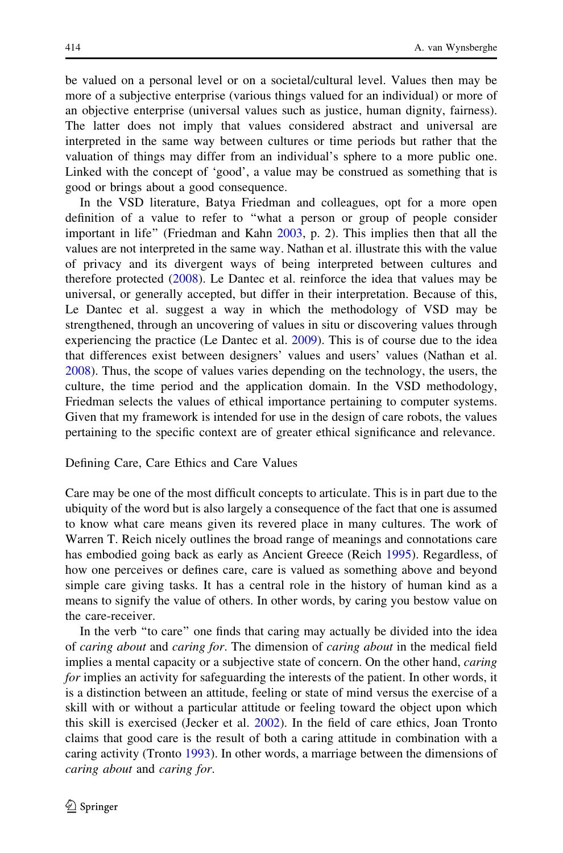be valued on a personal level or on a societal/cultural level. Values then may be more of a subjective enterprise (various things valued for an individual) or more of an objective enterprise (universal values such as justice, human dignity, fairness). The latter does not imply that values considered abstract and universal are interpreted in the same way between cultures or time periods but rather that the valuation of things may differ from an individual's sphere to a more public one. Linked with the concept of 'good', a value may be construed as something that is good or brings about a good consequence.

In the VSD literature, Batya Friedman and colleagues, opt for a more open definition of a value to refer to ''what a person or group of people consider important in life'' (Friedman and Kahn [2003](#page-25-0), p. 2). This implies then that all the values are not interpreted in the same way. Nathan et al. illustrate this with the value of privacy and its divergent ways of being interpreted between cultures and therefore protected ([2008\)](#page-25-0). Le Dantec et al. reinforce the idea that values may be universal, or generally accepted, but differ in their interpretation. Because of this, Le Dantec et al. suggest a way in which the methodology of VSD may be strengthened, through an uncovering of values in situ or discovering values through experiencing the practice (Le Dantec et al. [2009\)](#page-25-0). This is of course due to the idea that differences exist between designers' values and users' values (Nathan et al. [2008\)](#page-25-0). Thus, the scope of values varies depending on the technology, the users, the culture, the time period and the application domain. In the VSD methodology, Friedman selects the values of ethical importance pertaining to computer systems. Given that my framework is intended for use in the design of care robots, the values pertaining to the specific context are of greater ethical significance and relevance.

Defining Care, Care Ethics and Care Values

Care may be one of the most difficult concepts to articulate. This is in part due to the ubiquity of the word but is also largely a consequence of the fact that one is assumed to know what care means given its revered place in many cultures. The work of Warren T. Reich nicely outlines the broad range of meanings and connotations care has embodied going back as early as Ancient Greece (Reich [1995](#page-25-0)). Regardless, of how one perceives or defines care, care is valued as something above and beyond simple care giving tasks. It has a central role in the history of human kind as a means to signify the value of others. In other words, by caring you bestow value on the care-receiver.

In the verb ''to care'' one finds that caring may actually be divided into the idea of caring about and caring for. The dimension of caring about in the medical field implies a mental capacity or a subjective state of concern. On the other hand, *caring* for implies an activity for safeguarding the interests of the patient. In other words, it is a distinction between an attitude, feeling or state of mind versus the exercise of a skill with or without a particular attitude or feeling toward the object upon which this skill is exercised (Jecker et al. [2002\)](#page-25-0). In the field of care ethics, Joan Tronto claims that good care is the result of both a caring attitude in combination with a caring activity (Tronto [1993](#page-25-0)). In other words, a marriage between the dimensions of caring about and caring for.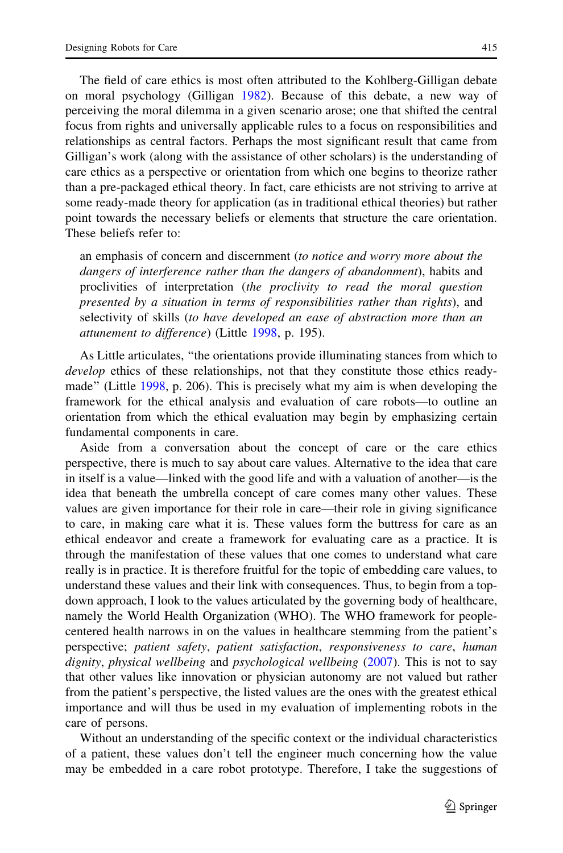The field of care ethics is most often attributed to the Kohlberg-Gilligan debate on moral psychology (Gilligan [1982](#page-25-0)). Because of this debate, a new way of perceiving the moral dilemma in a given scenario arose; one that shifted the central focus from rights and universally applicable rules to a focus on responsibilities and relationships as central factors. Perhaps the most significant result that came from Gilligan's work (along with the assistance of other scholars) is the understanding of care ethics as a perspective or orientation from which one begins to theorize rather than a pre-packaged ethical theory. In fact, care ethicists are not striving to arrive at some ready-made theory for application (as in traditional ethical theories) but rather point towards the necessary beliefs or elements that structure the care orientation. These beliefs refer to:

an emphasis of concern and discernment (to notice and worry more about the dangers of interference rather than the dangers of abandonment), habits and proclivities of interpretation (the proclivity to read the moral question presented by a situation in terms of responsibilities rather than rights), and selectivity of skills (to have developed an ease of abstraction more than an attunement to difference) (Little [1998,](#page-25-0) p. 195).

As Little articulates, ''the orientations provide illuminating stances from which to develop ethics of these relationships, not that they constitute those ethics readymade'' (Little [1998](#page-25-0), p. 206). This is precisely what my aim is when developing the framework for the ethical analysis and evaluation of care robots—to outline an orientation from which the ethical evaluation may begin by emphasizing certain fundamental components in care.

Aside from a conversation about the concept of care or the care ethics perspective, there is much to say about care values. Alternative to the idea that care in itself is a value—linked with the good life and with a valuation of another—is the idea that beneath the umbrella concept of care comes many other values. These values are given importance for their role in care—their role in giving significance to care, in making care what it is. These values form the buttress for care as an ethical endeavor and create a framework for evaluating care as a practice. It is through the manifestation of these values that one comes to understand what care really is in practice. It is therefore fruitful for the topic of embedding care values, to understand these values and their link with consequences. Thus, to begin from a topdown approach, I look to the values articulated by the governing body of healthcare, namely the World Health Organization (WHO). The WHO framework for peoplecentered health narrows in on the values in healthcare stemming from the patient's perspective; patient safety, patient satisfaction, responsiveness to care, human dignity, physical wellbeing and psychological wellbeing ([2007\)](#page-26-0). This is not to say that other values like innovation or physician autonomy are not valued but rather from the patient's perspective, the listed values are the ones with the greatest ethical importance and will thus be used in my evaluation of implementing robots in the care of persons.

Without an understanding of the specific context or the individual characteristics of a patient, these values don't tell the engineer much concerning how the value may be embedded in a care robot prototype. Therefore, I take the suggestions of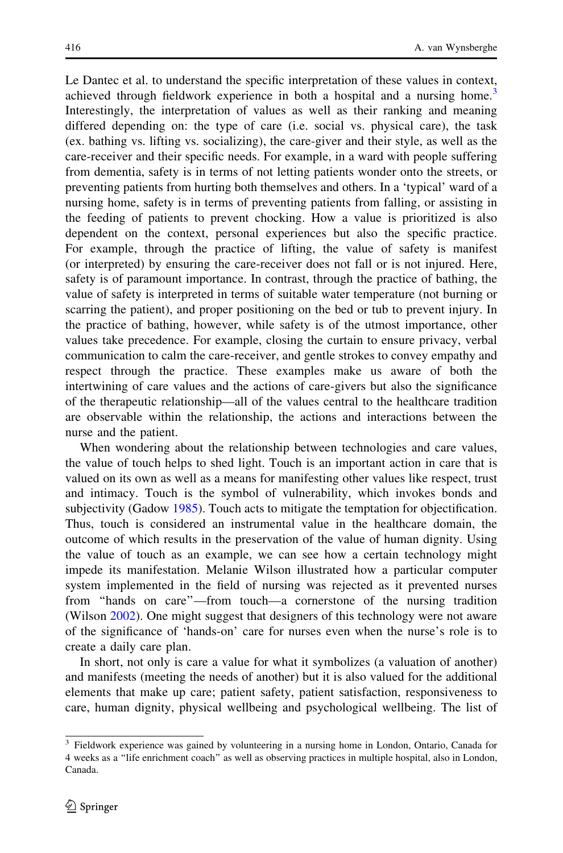Le Dantec et al. to understand the specific interpretation of these values in context, achieved through fieldwork experience in both a hospital and a nursing home.<sup>3</sup> Interestingly, the interpretation of values as well as their ranking and meaning differed depending on: the type of care (i.e. social vs. physical care), the task (ex. bathing vs. lifting vs. socializing), the care-giver and their style, as well as the care-receiver and their specific needs. For example, in a ward with people suffering from dementia, safety is in terms of not letting patients wonder onto the streets, or preventing patients from hurting both themselves and others. In a 'typical' ward of a nursing home, safety is in terms of preventing patients from falling, or assisting in the feeding of patients to prevent chocking. How a value is prioritized is also dependent on the context, personal experiences but also the specific practice. For example, through the practice of lifting, the value of safety is manifest (or interpreted) by ensuring the care-receiver does not fall or is not injured. Here, safety is of paramount importance. In contrast, through the practice of bathing, the value of safety is interpreted in terms of suitable water temperature (not burning or scarring the patient), and proper positioning on the bed or tub to prevent injury. In the practice of bathing, however, while safety is of the utmost importance, other values take precedence. For example, closing the curtain to ensure privacy, verbal communication to calm the care-receiver, and gentle strokes to convey empathy and respect through the practice. These examples make us aware of both the intertwining of care values and the actions of care-givers but also the significance of the therapeutic relationship—all of the values central to the healthcare tradition are observable within the relationship, the actions and interactions between the nurse and the patient.

When wondering about the relationship between technologies and care values, the value of touch helps to shed light. Touch is an important action in care that is valued on its own as well as a means for manifesting other values like respect, trust and intimacy. Touch is the symbol of vulnerability, which invokes bonds and subjectivity (Gadow [1985\)](#page-25-0). Touch acts to mitigate the temptation for objectification. Thus, touch is considered an instrumental value in the healthcare domain, the outcome of which results in the preservation of the value of human dignity. Using the value of touch as an example, we can see how a certain technology might impede its manifestation. Melanie Wilson illustrated how a particular computer system implemented in the field of nursing was rejected as it prevented nurses from ''hands on care''—from touch—a cornerstone of the nursing tradition (Wilson [2002\)](#page-26-0). One might suggest that designers of this technology were not aware of the significance of 'hands-on' care for nurses even when the nurse's role is to create a daily care plan.

In short, not only is care a value for what it symbolizes (a valuation of another) and manifests (meeting the needs of another) but it is also valued for the additional elements that make up care; patient safety, patient satisfaction, responsiveness to care, human dignity, physical wellbeing and psychological wellbeing. The list of

<sup>&</sup>lt;sup>3</sup> Fieldwork experience was gained by volunteering in a nursing home in London, Ontario, Canada for 4 weeks as a ''life enrichment coach'' as well as observing practices in multiple hospital, also in London, Canada.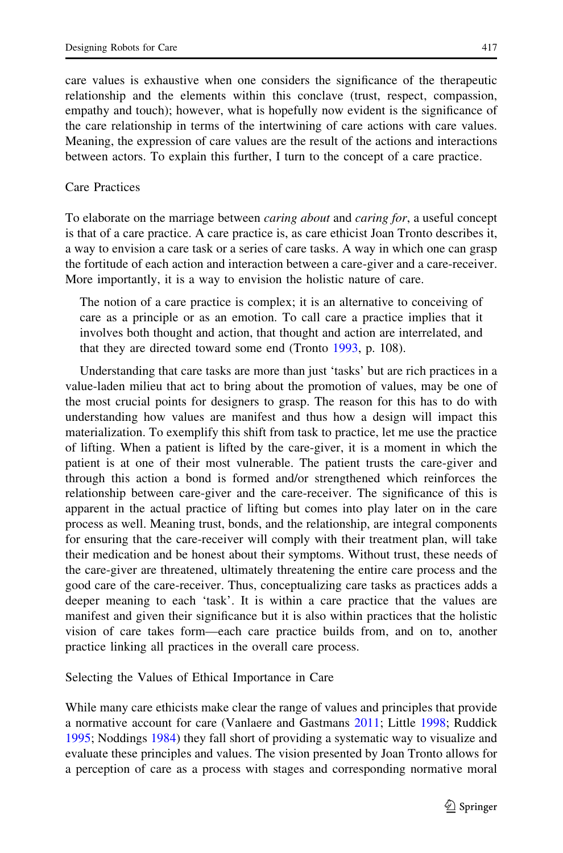care values is exhaustive when one considers the significance of the therapeutic relationship and the elements within this conclave (trust, respect, compassion, empathy and touch); however, what is hopefully now evident is the significance of the care relationship in terms of the intertwining of care actions with care values. Meaning, the expression of care values are the result of the actions and interactions between actors. To explain this further, I turn to the concept of a care practice.

### Care Practices

To elaborate on the marriage between *caring about* and *caring for*, a useful concept is that of a care practice. A care practice is, as care ethicist Joan Tronto describes it, a way to envision a care task or a series of care tasks. A way in which one can grasp the fortitude of each action and interaction between a care-giver and a care-receiver. More importantly, it is a way to envision the holistic nature of care.

The notion of a care practice is complex; it is an alternative to conceiving of care as a principle or as an emotion. To call care a practice implies that it involves both thought and action, that thought and action are interrelated, and that they are directed toward some end (Tronto [1993,](#page-25-0) p. 108).

Understanding that care tasks are more than just 'tasks' but are rich practices in a value-laden milieu that act to bring about the promotion of values, may be one of the most crucial points for designers to grasp. The reason for this has to do with understanding how values are manifest and thus how a design will impact this materialization. To exemplify this shift from task to practice, let me use the practice of lifting. When a patient is lifted by the care-giver, it is a moment in which the patient is at one of their most vulnerable. The patient trusts the care-giver and through this action a bond is formed and/or strengthened which reinforces the relationship between care-giver and the care-receiver. The significance of this is apparent in the actual practice of lifting but comes into play later on in the care process as well. Meaning trust, bonds, and the relationship, are integral components for ensuring that the care-receiver will comply with their treatment plan, will take their medication and be honest about their symptoms. Without trust, these needs of the care-giver are threatened, ultimately threatening the entire care process and the good care of the care-receiver. Thus, conceptualizing care tasks as practices adds a deeper meaning to each 'task'. It is within a care practice that the values are manifest and given their significance but it is also within practices that the holistic vision of care takes form—each care practice builds from, and on to, another practice linking all practices in the overall care process.

Selecting the Values of Ethical Importance in Care

While many care ethicists make clear the range of values and principles that provide a normative account for care (Vanlaere and Gastmans [2011;](#page-26-0) Little [1998](#page-25-0); Ruddick [1995;](#page-25-0) Noddings [1984\)](#page-25-0) they fall short of providing a systematic way to visualize and evaluate these principles and values. The vision presented by Joan Tronto allows for a perception of care as a process with stages and corresponding normative moral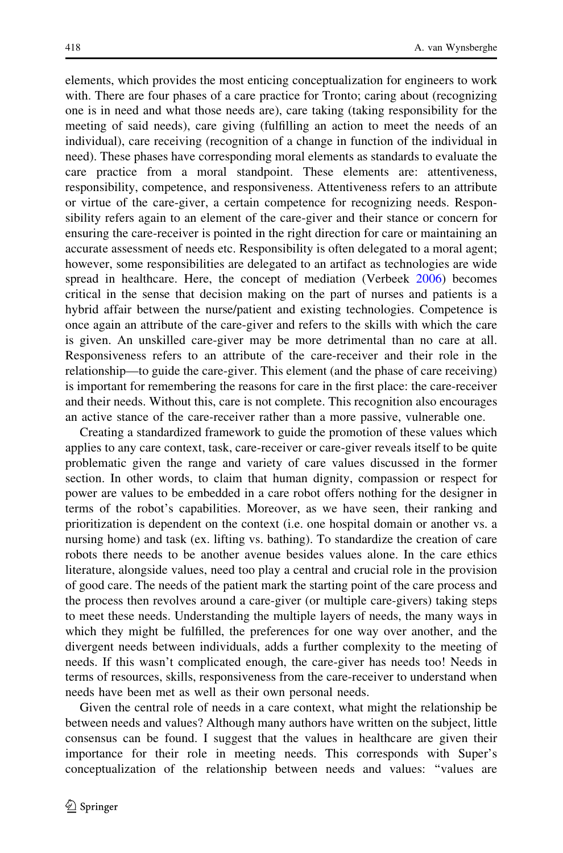elements, which provides the most enticing conceptualization for engineers to work with. There are four phases of a care practice for Tronto; caring about (recognizing one is in need and what those needs are), care taking (taking responsibility for the meeting of said needs), care giving (fulfilling an action to meet the needs of an individual), care receiving (recognition of a change in function of the individual in need). These phases have corresponding moral elements as standards to evaluate the care practice from a moral standpoint. These elements are: attentiveness, responsibility, competence, and responsiveness. Attentiveness refers to an attribute or virtue of the care-giver, a certain competence for recognizing needs. Responsibility refers again to an element of the care-giver and their stance or concern for ensuring the care-receiver is pointed in the right direction for care or maintaining an accurate assessment of needs etc. Responsibility is often delegated to a moral agent; however, some responsibilities are delegated to an artifact as technologies are wide spread in healthcare. Here, the concept of mediation (Verbeek [2006\)](#page-26-0) becomes critical in the sense that decision making on the part of nurses and patients is a hybrid affair between the nurse/patient and existing technologies. Competence is once again an attribute of the care-giver and refers to the skills with which the care is given. An unskilled care-giver may be more detrimental than no care at all. Responsiveness refers to an attribute of the care-receiver and their role in the relationship—to guide the care-giver. This element (and the phase of care receiving) is important for remembering the reasons for care in the first place: the care-receiver and their needs. Without this, care is not complete. This recognition also encourages an active stance of the care-receiver rather than a more passive, vulnerable one.

Creating a standardized framework to guide the promotion of these values which applies to any care context, task, care-receiver or care-giver reveals itself to be quite problematic given the range and variety of care values discussed in the former section. In other words, to claim that human dignity, compassion or respect for power are values to be embedded in a care robot offers nothing for the designer in terms of the robot's capabilities. Moreover, as we have seen, their ranking and prioritization is dependent on the context (i.e. one hospital domain or another vs. a nursing home) and task (ex. lifting vs. bathing). To standardize the creation of care robots there needs to be another avenue besides values alone. In the care ethics literature, alongside values, need too play a central and crucial role in the provision of good care. The needs of the patient mark the starting point of the care process and the process then revolves around a care-giver (or multiple care-givers) taking steps to meet these needs. Understanding the multiple layers of needs, the many ways in which they might be fulfilled, the preferences for one way over another, and the divergent needs between individuals, adds a further complexity to the meeting of needs. If this wasn't complicated enough, the care-giver has needs too! Needs in terms of resources, skills, responsiveness from the care-receiver to understand when needs have been met as well as their own personal needs.

Given the central role of needs in a care context, what might the relationship be between needs and values? Although many authors have written on the subject, little consensus can be found. I suggest that the values in healthcare are given their importance for their role in meeting needs. This corresponds with Super's conceptualization of the relationship between needs and values: ''values are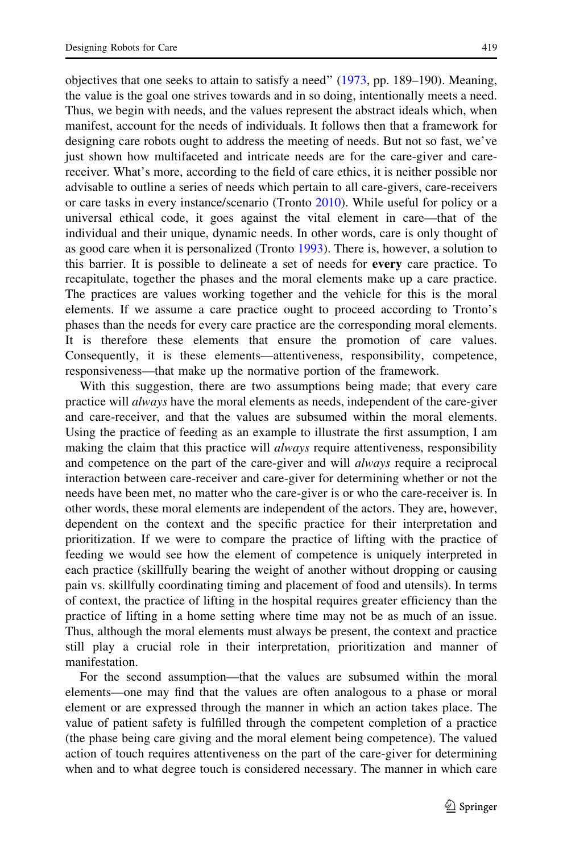objectives that one seeks to attain to satisfy a need'' [\(1973](#page-25-0), pp. 189–190). Meaning, the value is the goal one strives towards and in so doing, intentionally meets a need. Thus, we begin with needs, and the values represent the abstract ideals which, when manifest, account for the needs of individuals. It follows then that a framework for designing care robots ought to address the meeting of needs. But not so fast, we've just shown how multifaceted and intricate needs are for the care-giver and carereceiver. What's more, according to the field of care ethics, it is neither possible nor advisable to outline a series of needs which pertain to all care-givers, care-receivers or care tasks in every instance/scenario (Tronto [2010](#page-25-0)). While useful for policy or a universal ethical code, it goes against the vital element in care—that of the individual and their unique, dynamic needs. In other words, care is only thought of as good care when it is personalized (Tronto [1993\)](#page-25-0). There is, however, a solution to this barrier. It is possible to delineate a set of needs for every care practice. To recapitulate, together the phases and the moral elements make up a care practice. The practices are values working together and the vehicle for this is the moral elements. If we assume a care practice ought to proceed according to Tronto's phases than the needs for every care practice are the corresponding moral elements. It is therefore these elements that ensure the promotion of care values. Consequently, it is these elements—attentiveness, responsibility, competence, responsiveness—that make up the normative portion of the framework.

With this suggestion, there are two assumptions being made; that every care practice will always have the moral elements as needs, independent of the care-giver and care-receiver, and that the values are subsumed within the moral elements. Using the practice of feeding as an example to illustrate the first assumption, I am making the claim that this practice will *always* require attentiveness, responsibility and competence on the part of the care-giver and will always require a reciprocal interaction between care-receiver and care-giver for determining whether or not the needs have been met, no matter who the care-giver is or who the care-receiver is. In other words, these moral elements are independent of the actors. They are, however, dependent on the context and the specific practice for their interpretation and prioritization. If we were to compare the practice of lifting with the practice of feeding we would see how the element of competence is uniquely interpreted in each practice (skillfully bearing the weight of another without dropping or causing pain vs. skillfully coordinating timing and placement of food and utensils). In terms of context, the practice of lifting in the hospital requires greater efficiency than the practice of lifting in a home setting where time may not be as much of an issue. Thus, although the moral elements must always be present, the context and practice still play a crucial role in their interpretation, prioritization and manner of manifestation.

For the second assumption—that the values are subsumed within the moral elements—one may find that the values are often analogous to a phase or moral element or are expressed through the manner in which an action takes place. The value of patient safety is fulfilled through the competent completion of a practice (the phase being care giving and the moral element being competence). The valued action of touch requires attentiveness on the part of the care-giver for determining when and to what degree touch is considered necessary. The manner in which care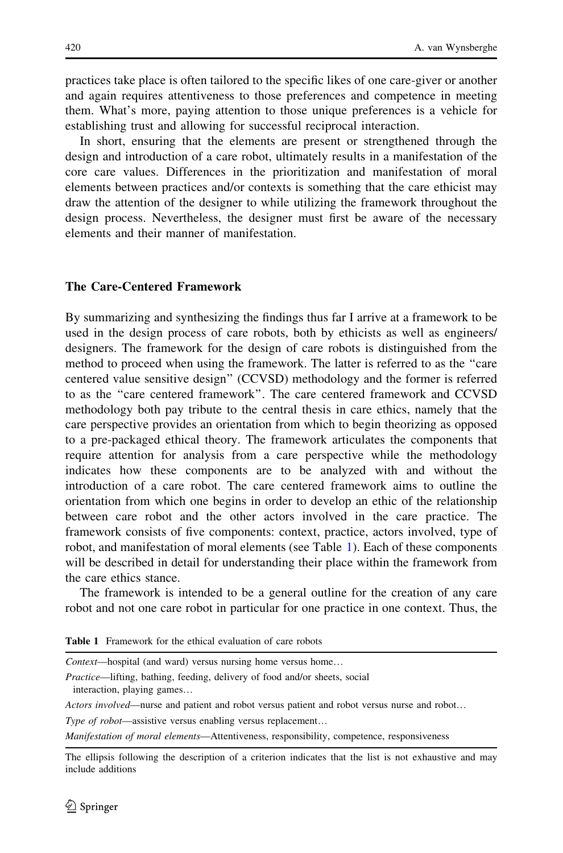practices take place is often tailored to the specific likes of one care-giver or another and again requires attentiveness to those preferences and competence in meeting them. What's more, paying attention to those unique preferences is a vehicle for establishing trust and allowing for successful reciprocal interaction.

In short, ensuring that the elements are present or strengthened through the design and introduction of a care robot, ultimately results in a manifestation of the core care values. Differences in the prioritization and manifestation of moral elements between practices and/or contexts is something that the care ethicist may draw the attention of the designer to while utilizing the framework throughout the design process. Nevertheless, the designer must first be aware of the necessary elements and their manner of manifestation.

#### The Care-Centered Framework

By summarizing and synthesizing the findings thus far I arrive at a framework to be used in the design process of care robots, both by ethicists as well as engineers/ designers. The framework for the design of care robots is distinguished from the method to proceed when using the framework. The latter is referred to as the ''care centered value sensitive design'' (CCVSD) methodology and the former is referred to as the ''care centered framework''. The care centered framework and CCVSD methodology both pay tribute to the central thesis in care ethics, namely that the care perspective provides an orientation from which to begin theorizing as opposed to a pre-packaged ethical theory. The framework articulates the components that require attention for analysis from a care perspective while the methodology indicates how these components are to be analyzed with and without the introduction of a care robot. The care centered framework aims to outline the orientation from which one begins in order to develop an ethic of the relationship between care robot and the other actors involved in the care practice. The framework consists of five components: context, practice, actors involved, type of robot, and manifestation of moral elements (see Table 1). Each of these components will be described in detail for understanding their place within the framework from the care ethics stance.

The framework is intended to be a general outline for the creation of any care robot and not one care robot in particular for one practice in one context. Thus, the

Table 1 Framework for the ethical evaluation of care robots

Manifestation of moral elements—Attentiveness, responsibility, competence, responsiveness

Context—hospital (and ward) versus nursing home versus home…

Practice—lifting, bathing, feeding, delivery of food and/or sheets, social interaction, playing games…

Actors involved—nurse and patient and robot versus patient and robot versus nurse and robot...

Type of robot—assistive versus enabling versus replacement...

The ellipsis following the description of a criterion indicates that the list is not exhaustive and may include additions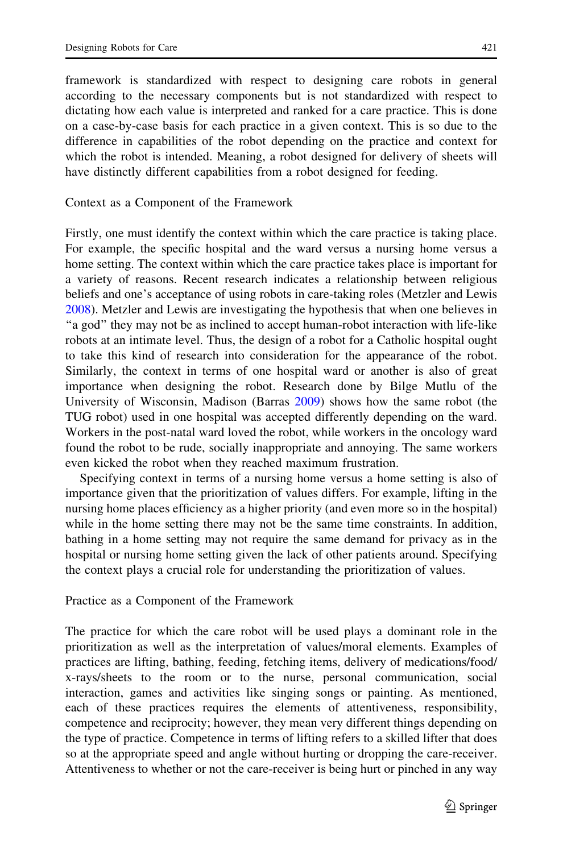framework is standardized with respect to designing care robots in general according to the necessary components but is not standardized with respect to dictating how each value is interpreted and ranked for a care practice. This is done on a case-by-case basis for each practice in a given context. This is so due to the difference in capabilities of the robot depending on the practice and context for which the robot is intended. Meaning, a robot designed for delivery of sheets will have distinctly different capabilities from a robot designed for feeding.

Context as a Component of the Framework

Firstly, one must identify the context within which the care practice is taking place. For example, the specific hospital and the ward versus a nursing home versus a home setting. The context within which the care practice takes place is important for a variety of reasons. Recent research indicates a relationship between religious beliefs and one's acceptance of using robots in care-taking roles (Metzler and Lewis [2008\)](#page-25-0). Metzler and Lewis are investigating the hypothesis that when one believes in ''a god'' they may not be as inclined to accept human-robot interaction with life-like robots at an intimate level. Thus, the design of a robot for a Catholic hospital ought to take this kind of research into consideration for the appearance of the robot. Similarly, the context in terms of one hospital ward or another is also of great importance when designing the robot. Research done by Bilge Mutlu of the University of Wisconsin, Madison (Barras [2009](#page-24-0)) shows how the same robot (the TUG robot) used in one hospital was accepted differently depending on the ward. Workers in the post-natal ward loved the robot, while workers in the oncology ward found the robot to be rude, socially inappropriate and annoying. The same workers even kicked the robot when they reached maximum frustration.

Specifying context in terms of a nursing home versus a home setting is also of importance given that the prioritization of values differs. For example, lifting in the nursing home places efficiency as a higher priority (and even more so in the hospital) while in the home setting there may not be the same time constraints. In addition, bathing in a home setting may not require the same demand for privacy as in the hospital or nursing home setting given the lack of other patients around. Specifying the context plays a crucial role for understanding the prioritization of values.

Practice as a Component of the Framework

The practice for which the care robot will be used plays a dominant role in the prioritization as well as the interpretation of values/moral elements. Examples of practices are lifting, bathing, feeding, fetching items, delivery of medications/food/ x-rays/sheets to the room or to the nurse, personal communication, social interaction, games and activities like singing songs or painting. As mentioned, each of these practices requires the elements of attentiveness, responsibility, competence and reciprocity; however, they mean very different things depending on the type of practice. Competence in terms of lifting refers to a skilled lifter that does so at the appropriate speed and angle without hurting or dropping the care-receiver. Attentiveness to whether or not the care-receiver is being hurt or pinched in any way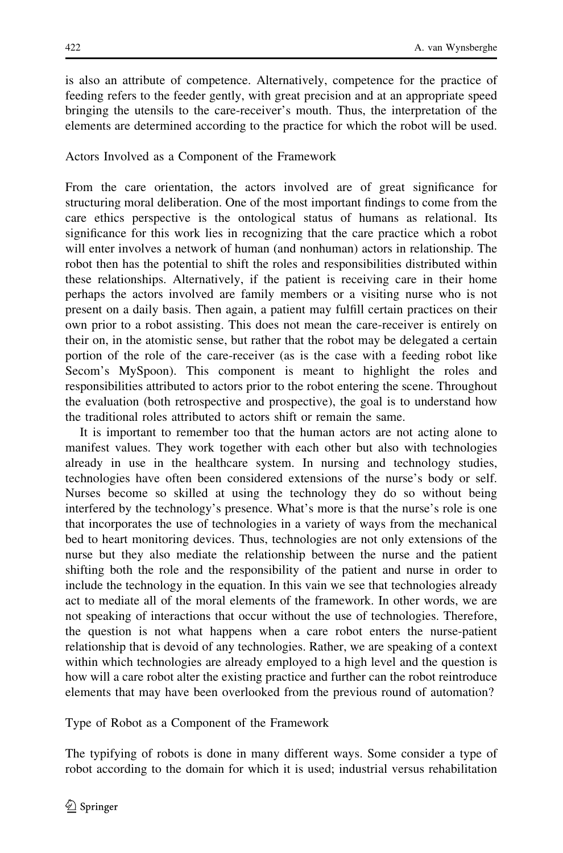is also an attribute of competence. Alternatively, competence for the practice of feeding refers to the feeder gently, with great precision and at an appropriate speed bringing the utensils to the care-receiver's mouth. Thus, the interpretation of the elements are determined according to the practice for which the robot will be used.

# Actors Involved as a Component of the Framework

From the care orientation, the actors involved are of great significance for structuring moral deliberation. One of the most important findings to come from the care ethics perspective is the ontological status of humans as relational. Its significance for this work lies in recognizing that the care practice which a robot will enter involves a network of human (and nonhuman) actors in relationship. The robot then has the potential to shift the roles and responsibilities distributed within these relationships. Alternatively, if the patient is receiving care in their home perhaps the actors involved are family members or a visiting nurse who is not present on a daily basis. Then again, a patient may fulfill certain practices on their own prior to a robot assisting. This does not mean the care-receiver is entirely on their on, in the atomistic sense, but rather that the robot may be delegated a certain portion of the role of the care-receiver (as is the case with a feeding robot like Secom's MySpoon). This component is meant to highlight the roles and responsibilities attributed to actors prior to the robot entering the scene. Throughout the evaluation (both retrospective and prospective), the goal is to understand how the traditional roles attributed to actors shift or remain the same.

It is important to remember too that the human actors are not acting alone to manifest values. They work together with each other but also with technologies already in use in the healthcare system. In nursing and technology studies, technologies have often been considered extensions of the nurse's body or self. Nurses become so skilled at using the technology they do so without being interfered by the technology's presence. What's more is that the nurse's role is one that incorporates the use of technologies in a variety of ways from the mechanical bed to heart monitoring devices. Thus, technologies are not only extensions of the nurse but they also mediate the relationship between the nurse and the patient shifting both the role and the responsibility of the patient and nurse in order to include the technology in the equation. In this vain we see that technologies already act to mediate all of the moral elements of the framework. In other words, we are not speaking of interactions that occur without the use of technologies. Therefore, the question is not what happens when a care robot enters the nurse-patient relationship that is devoid of any technologies. Rather, we are speaking of a context within which technologies are already employed to a high level and the question is how will a care robot alter the existing practice and further can the robot reintroduce elements that may have been overlooked from the previous round of automation?

Type of Robot as a Component of the Framework

The typifying of robots is done in many different ways. Some consider a type of robot according to the domain for which it is used; industrial versus rehabilitation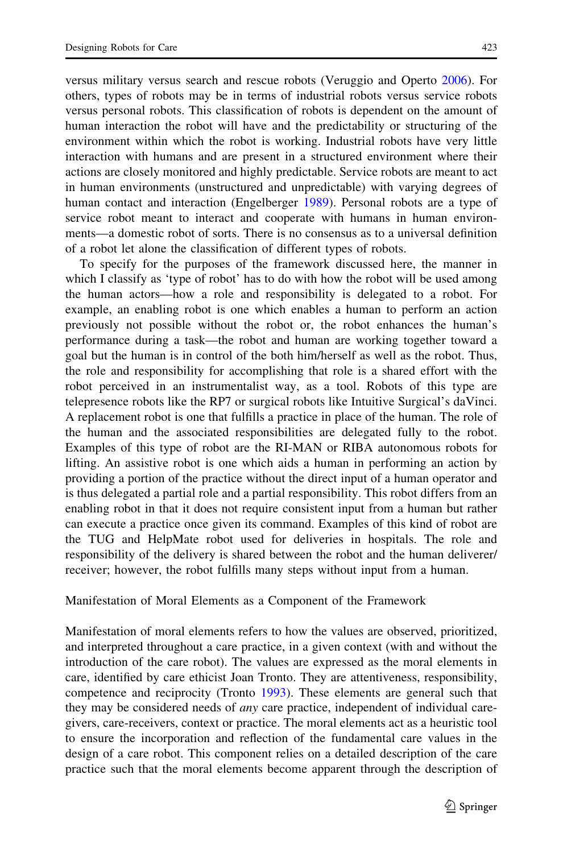versus military versus search and rescue robots (Veruggio and Operto [2006\)](#page-26-0). For others, types of robots may be in terms of industrial robots versus service robots versus personal robots. This classification of robots is dependent on the amount of human interaction the robot will have and the predictability or structuring of the environment within which the robot is working. Industrial robots have very little interaction with humans and are present in a structured environment where their actions are closely monitored and highly predictable. Service robots are meant to act in human environments (unstructured and unpredictable) with varying degrees of human contact and interaction (Engelberger [1989\)](#page-24-0). Personal robots are a type of service robot meant to interact and cooperate with humans in human environments—a domestic robot of sorts. There is no consensus as to a universal definition of a robot let alone the classification of different types of robots.

To specify for the purposes of the framework discussed here, the manner in which I classify as 'type of robot' has to do with how the robot will be used among the human actors—how a role and responsibility is delegated to a robot. For example, an enabling robot is one which enables a human to perform an action previously not possible without the robot or, the robot enhances the human's performance during a task—the robot and human are working together toward a goal but the human is in control of the both him/herself as well as the robot. Thus, the role and responsibility for accomplishing that role is a shared effort with the robot perceived in an instrumentalist way, as a tool. Robots of this type are telepresence robots like the RP7 or surgical robots like Intuitive Surgical's daVinci. A replacement robot is one that fulfills a practice in place of the human. The role of the human and the associated responsibilities are delegated fully to the robot. Examples of this type of robot are the RI-MAN or RIBA autonomous robots for lifting. An assistive robot is one which aids a human in performing an action by providing a portion of the practice without the direct input of a human operator and is thus delegated a partial role and a partial responsibility. This robot differs from an enabling robot in that it does not require consistent input from a human but rather can execute a practice once given its command. Examples of this kind of robot are the TUG and HelpMate robot used for deliveries in hospitals. The role and responsibility of the delivery is shared between the robot and the human deliverer/ receiver; however, the robot fulfills many steps without input from a human.

#### Manifestation of Moral Elements as a Component of the Framework

Manifestation of moral elements refers to how the values are observed, prioritized, and interpreted throughout a care practice, in a given context (with and without the introduction of the care robot). The values are expressed as the moral elements in care, identified by care ethicist Joan Tronto. They are attentiveness, responsibility, competence and reciprocity (Tronto [1993\)](#page-25-0). These elements are general such that they may be considered needs of *any* care practice, independent of individual caregivers, care-receivers, context or practice. The moral elements act as a heuristic tool to ensure the incorporation and reflection of the fundamental care values in the design of a care robot. This component relies on a detailed description of the care practice such that the moral elements become apparent through the description of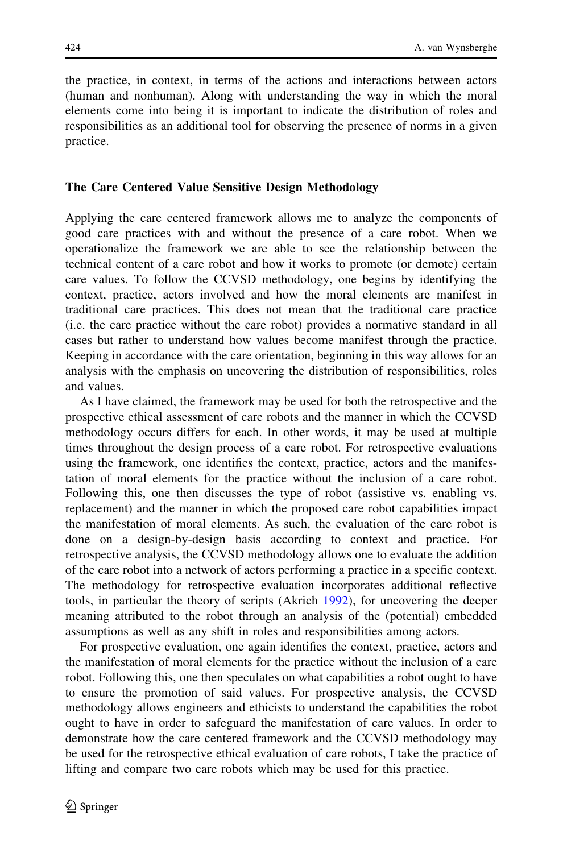the practice, in context, in terms of the actions and interactions between actors (human and nonhuman). Along with understanding the way in which the moral elements come into being it is important to indicate the distribution of roles and responsibilities as an additional tool for observing the presence of norms in a given practice.

#### The Care Centered Value Sensitive Design Methodology

Applying the care centered framework allows me to analyze the components of good care practices with and without the presence of a care robot. When we operationalize the framework we are able to see the relationship between the technical content of a care robot and how it works to promote (or demote) certain care values. To follow the CCVSD methodology, one begins by identifying the context, practice, actors involved and how the moral elements are manifest in traditional care practices. This does not mean that the traditional care practice (i.e. the care practice without the care robot) provides a normative standard in all cases but rather to understand how values become manifest through the practice. Keeping in accordance with the care orientation, beginning in this way allows for an analysis with the emphasis on uncovering the distribution of responsibilities, roles and values.

As I have claimed, the framework may be used for both the retrospective and the prospective ethical assessment of care robots and the manner in which the CCVSD methodology occurs differs for each. In other words, it may be used at multiple times throughout the design process of a care robot. For retrospective evaluations using the framework, one identifies the context, practice, actors and the manifestation of moral elements for the practice without the inclusion of a care robot. Following this, one then discusses the type of robot (assistive vs. enabling vs. replacement) and the manner in which the proposed care robot capabilities impact the manifestation of moral elements. As such, the evaluation of the care robot is done on a design-by-design basis according to context and practice. For retrospective analysis, the CCVSD methodology allows one to evaluate the addition of the care robot into a network of actors performing a practice in a specific context. The methodology for retrospective evaluation incorporates additional reflective tools, in particular the theory of scripts (Akrich [1992](#page-24-0)), for uncovering the deeper meaning attributed to the robot through an analysis of the (potential) embedded assumptions as well as any shift in roles and responsibilities among actors.

For prospective evaluation, one again identifies the context, practice, actors and the manifestation of moral elements for the practice without the inclusion of a care robot. Following this, one then speculates on what capabilities a robot ought to have to ensure the promotion of said values. For prospective analysis, the CCVSD methodology allows engineers and ethicists to understand the capabilities the robot ought to have in order to safeguard the manifestation of care values. In order to demonstrate how the care centered framework and the CCVSD methodology may be used for the retrospective ethical evaluation of care robots, I take the practice of lifting and compare two care robots which may be used for this practice.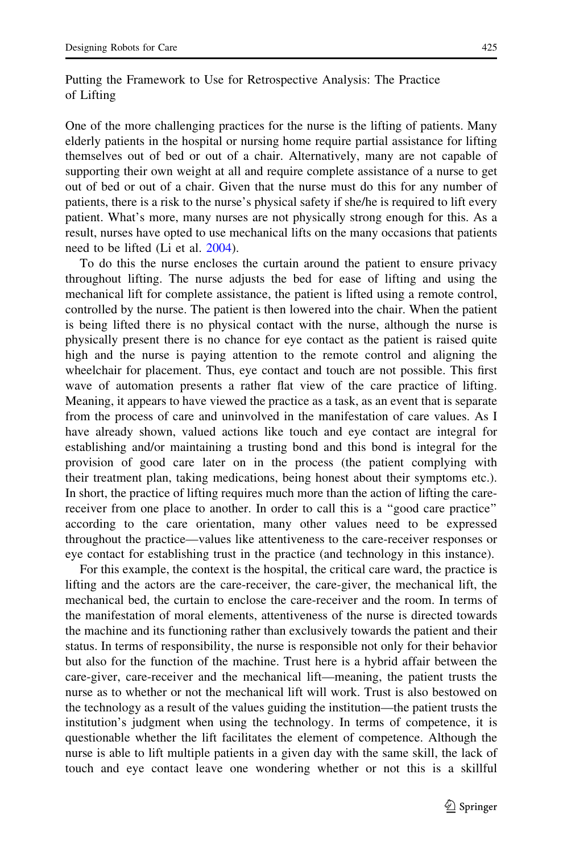One of the more challenging practices for the nurse is the lifting of patients. Many elderly patients in the hospital or nursing home require partial assistance for lifting themselves out of bed or out of a chair. Alternatively, many are not capable of supporting their own weight at all and require complete assistance of a nurse to get out of bed or out of a chair. Given that the nurse must do this for any number of patients, there is a risk to the nurse's physical safety if she/he is required to lift every patient. What's more, many nurses are not physically strong enough for this. As a result, nurses have opted to use mechanical lifts on the many occasions that patients need to be lifted (Li et al. [2004\)](#page-25-0).

To do this the nurse encloses the curtain around the patient to ensure privacy throughout lifting. The nurse adjusts the bed for ease of lifting and using the mechanical lift for complete assistance, the patient is lifted using a remote control, controlled by the nurse. The patient is then lowered into the chair. When the patient is being lifted there is no physical contact with the nurse, although the nurse is physically present there is no chance for eye contact as the patient is raised quite high and the nurse is paying attention to the remote control and aligning the wheelchair for placement. Thus, eye contact and touch are not possible. This first wave of automation presents a rather flat view of the care practice of lifting. Meaning, it appears to have viewed the practice as a task, as an event that is separate from the process of care and uninvolved in the manifestation of care values. As I have already shown, valued actions like touch and eye contact are integral for establishing and/or maintaining a trusting bond and this bond is integral for the provision of good care later on in the process (the patient complying with their treatment plan, taking medications, being honest about their symptoms etc.). In short, the practice of lifting requires much more than the action of lifting the carereceiver from one place to another. In order to call this is a ''good care practice'' according to the care orientation, many other values need to be expressed throughout the practice—values like attentiveness to the care-receiver responses or eye contact for establishing trust in the practice (and technology in this instance).

For this example, the context is the hospital, the critical care ward, the practice is lifting and the actors are the care-receiver, the care-giver, the mechanical lift, the mechanical bed, the curtain to enclose the care-receiver and the room. In terms of the manifestation of moral elements, attentiveness of the nurse is directed towards the machine and its functioning rather than exclusively towards the patient and their status. In terms of responsibility, the nurse is responsible not only for their behavior but also for the function of the machine. Trust here is a hybrid affair between the care-giver, care-receiver and the mechanical lift—meaning, the patient trusts the nurse as to whether or not the mechanical lift will work. Trust is also bestowed on the technology as a result of the values guiding the institution—the patient trusts the institution's judgment when using the technology. In terms of competence, it is questionable whether the lift facilitates the element of competence. Although the nurse is able to lift multiple patients in a given day with the same skill, the lack of touch and eye contact leave one wondering whether or not this is a skillful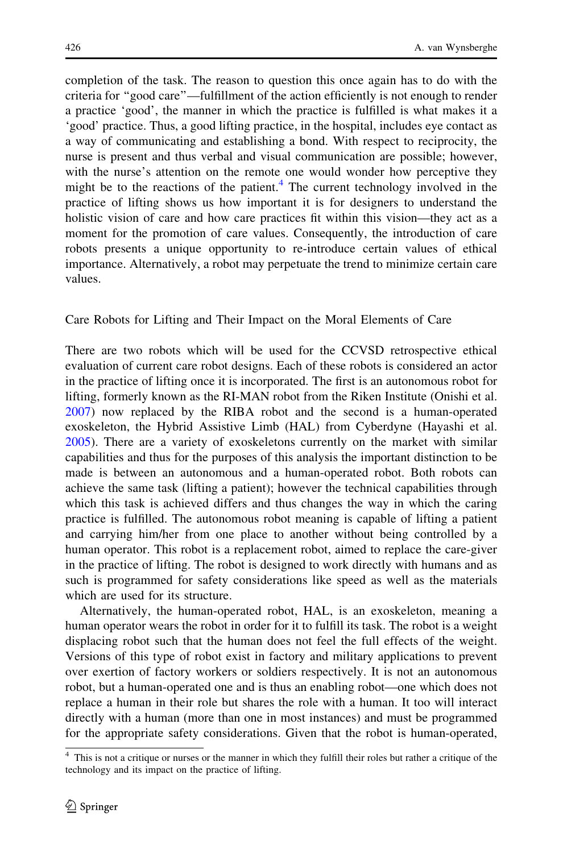completion of the task. The reason to question this once again has to do with the criteria for ''good care''—fulfillment of the action efficiently is not enough to render a practice 'good', the manner in which the practice is fulfilled is what makes it a 'good' practice. Thus, a good lifting practice, in the hospital, includes eye contact as a way of communicating and establishing a bond. With respect to reciprocity, the nurse is present and thus verbal and visual communication are possible; however, with the nurse's attention on the remote one would wonder how perceptive they might be to the reactions of the patient. $4$  The current technology involved in the practice of lifting shows us how important it is for designers to understand the holistic vision of care and how care practices fit within this vision—they act as a moment for the promotion of care values. Consequently, the introduction of care robots presents a unique opportunity to re-introduce certain values of ethical importance. Alternatively, a robot may perpetuate the trend to minimize certain care values.

Care Robots for Lifting and Their Impact on the Moral Elements of Care

There are two robots which will be used for the CCVSD retrospective ethical evaluation of current care robot designs. Each of these robots is considered an actor in the practice of lifting once it is incorporated. The first is an autonomous robot for lifting, formerly known as the RI-MAN robot from the Riken Institute (Onishi et al. [2007\)](#page-25-0) now replaced by the RIBA robot and the second is a human-operated exoskeleton, the Hybrid Assistive Limb (HAL) from Cyberdyne (Hayashi et al. [2005\)](#page-25-0). There are a variety of exoskeletons currently on the market with similar capabilities and thus for the purposes of this analysis the important distinction to be made is between an autonomous and a human-operated robot. Both robots can achieve the same task (lifting a patient); however the technical capabilities through which this task is achieved differs and thus changes the way in which the caring practice is fulfilled. The autonomous robot meaning is capable of lifting a patient and carrying him/her from one place to another without being controlled by a human operator. This robot is a replacement robot, aimed to replace the care-giver in the practice of lifting. The robot is designed to work directly with humans and as such is programmed for safety considerations like speed as well as the materials which are used for its structure.

Alternatively, the human-operated robot, HAL, is an exoskeleton, meaning a human operator wears the robot in order for it to fulfill its task. The robot is a weight displacing robot such that the human does not feel the full effects of the weight. Versions of this type of robot exist in factory and military applications to prevent over exertion of factory workers or soldiers respectively. It is not an autonomous robot, but a human-operated one and is thus an enabling robot—one which does not replace a human in their role but shares the role with a human. It too will interact directly with a human (more than one in most instances) and must be programmed for the appropriate safety considerations. Given that the robot is human-operated,

<sup>&</sup>lt;sup>4</sup> This is not a critique or nurses or the manner in which they fulfill their roles but rather a critique of the technology and its impact on the practice of lifting.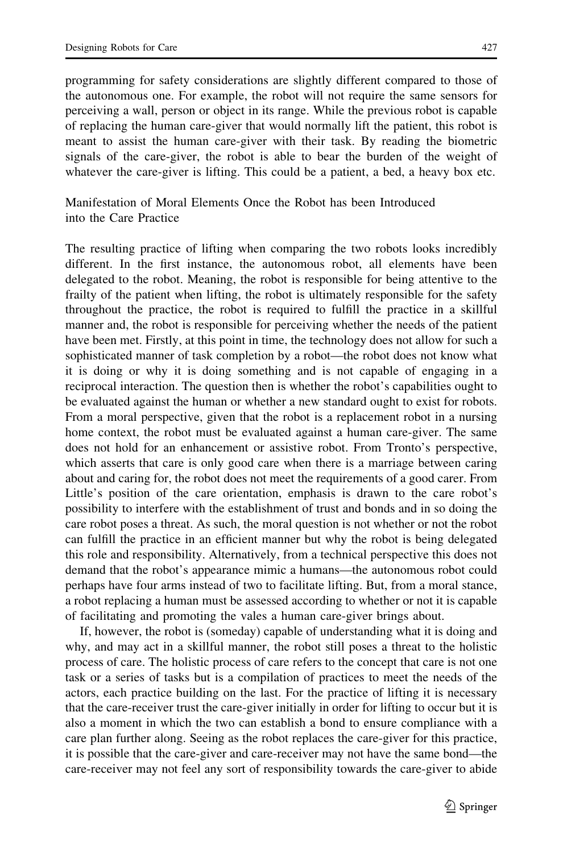programming for safety considerations are slightly different compared to those of the autonomous one. For example, the robot will not require the same sensors for perceiving a wall, person or object in its range. While the previous robot is capable of replacing the human care-giver that would normally lift the patient, this robot is meant to assist the human care-giver with their task. By reading the biometric signals of the care-giver, the robot is able to bear the burden of the weight of whatever the care-giver is lifting. This could be a patient, a bed, a heavy box etc.

Manifestation of Moral Elements Once the Robot has been Introduced into the Care Practice

The resulting practice of lifting when comparing the two robots looks incredibly different. In the first instance, the autonomous robot, all elements have been delegated to the robot. Meaning, the robot is responsible for being attentive to the frailty of the patient when lifting, the robot is ultimately responsible for the safety throughout the practice, the robot is required to fulfill the practice in a skillful manner and, the robot is responsible for perceiving whether the needs of the patient have been met. Firstly, at this point in time, the technology does not allow for such a sophisticated manner of task completion by a robot—the robot does not know what it is doing or why it is doing something and is not capable of engaging in a reciprocal interaction. The question then is whether the robot's capabilities ought to be evaluated against the human or whether a new standard ought to exist for robots. From a moral perspective, given that the robot is a replacement robot in a nursing home context, the robot must be evaluated against a human care-giver. The same does not hold for an enhancement or assistive robot. From Tronto's perspective, which asserts that care is only good care when there is a marriage between caring about and caring for, the robot does not meet the requirements of a good carer. From Little's position of the care orientation, emphasis is drawn to the care robot's possibility to interfere with the establishment of trust and bonds and in so doing the care robot poses a threat. As such, the moral question is not whether or not the robot can fulfill the practice in an efficient manner but why the robot is being delegated this role and responsibility. Alternatively, from a technical perspective this does not demand that the robot's appearance mimic a humans—the autonomous robot could perhaps have four arms instead of two to facilitate lifting. But, from a moral stance, a robot replacing a human must be assessed according to whether or not it is capable of facilitating and promoting the vales a human care-giver brings about.

If, however, the robot is (someday) capable of understanding what it is doing and why, and may act in a skillful manner, the robot still poses a threat to the holistic process of care. The holistic process of care refers to the concept that care is not one task or a series of tasks but is a compilation of practices to meet the needs of the actors, each practice building on the last. For the practice of lifting it is necessary that the care-receiver trust the care-giver initially in order for lifting to occur but it is also a moment in which the two can establish a bond to ensure compliance with a care plan further along. Seeing as the robot replaces the care-giver for this practice, it is possible that the care-giver and care-receiver may not have the same bond—the care-receiver may not feel any sort of responsibility towards the care-giver to abide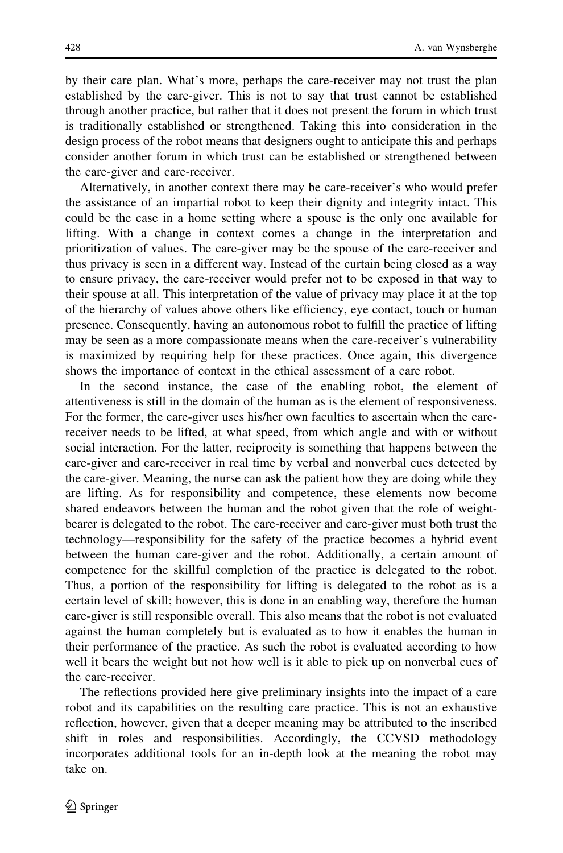by their care plan. What's more, perhaps the care-receiver may not trust the plan established by the care-giver. This is not to say that trust cannot be established through another practice, but rather that it does not present the forum in which trust is traditionally established or strengthened. Taking this into consideration in the design process of the robot means that designers ought to anticipate this and perhaps consider another forum in which trust can be established or strengthened between the care-giver and care-receiver.

Alternatively, in another context there may be care-receiver's who would prefer the assistance of an impartial robot to keep their dignity and integrity intact. This could be the case in a home setting where a spouse is the only one available for lifting. With a change in context comes a change in the interpretation and prioritization of values. The care-giver may be the spouse of the care-receiver and thus privacy is seen in a different way. Instead of the curtain being closed as a way to ensure privacy, the care-receiver would prefer not to be exposed in that way to their spouse at all. This interpretation of the value of privacy may place it at the top of the hierarchy of values above others like efficiency, eye contact, touch or human presence. Consequently, having an autonomous robot to fulfill the practice of lifting may be seen as a more compassionate means when the care-receiver's vulnerability is maximized by requiring help for these practices. Once again, this divergence shows the importance of context in the ethical assessment of a care robot.

In the second instance, the case of the enabling robot, the element of attentiveness is still in the domain of the human as is the element of responsiveness. For the former, the care-giver uses his/her own faculties to ascertain when the carereceiver needs to be lifted, at what speed, from which angle and with or without social interaction. For the latter, reciprocity is something that happens between the care-giver and care-receiver in real time by verbal and nonverbal cues detected by the care-giver. Meaning, the nurse can ask the patient how they are doing while they are lifting. As for responsibility and competence, these elements now become shared endeavors between the human and the robot given that the role of weightbearer is delegated to the robot. The care-receiver and care-giver must both trust the technology—responsibility for the safety of the practice becomes a hybrid event between the human care-giver and the robot. Additionally, a certain amount of competence for the skillful completion of the practice is delegated to the robot. Thus, a portion of the responsibility for lifting is delegated to the robot as is a certain level of skill; however, this is done in an enabling way, therefore the human care-giver is still responsible overall. This also means that the robot is not evaluated against the human completely but is evaluated as to how it enables the human in their performance of the practice. As such the robot is evaluated according to how well it bears the weight but not how well is it able to pick up on nonverbal cues of the care-receiver.

The reflections provided here give preliminary insights into the impact of a care robot and its capabilities on the resulting care practice. This is not an exhaustive reflection, however, given that a deeper meaning may be attributed to the inscribed shift in roles and responsibilities. Accordingly, the CCVSD methodology incorporates additional tools for an in-depth look at the meaning the robot may take on.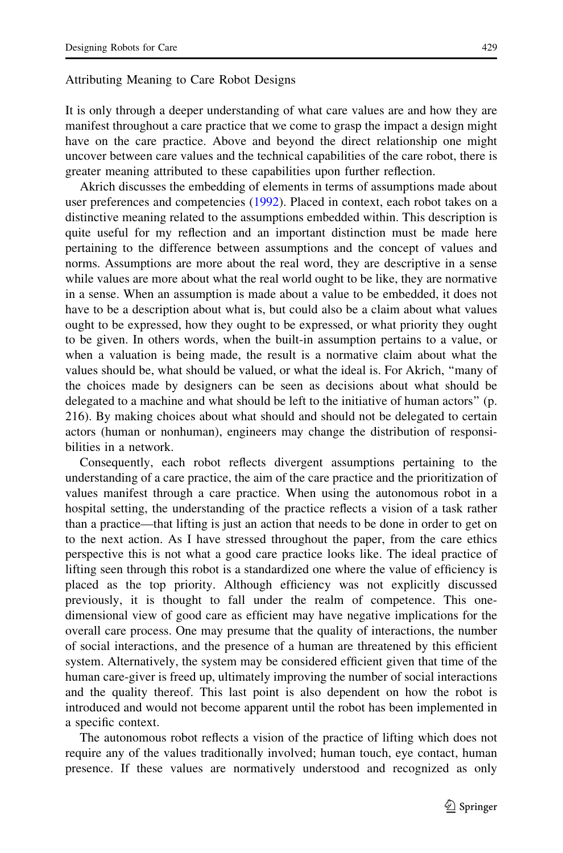#### Attributing Meaning to Care Robot Designs

It is only through a deeper understanding of what care values are and how they are manifest throughout a care practice that we come to grasp the impact a design might have on the care practice. Above and beyond the direct relationship one might uncover between care values and the technical capabilities of the care robot, there is greater meaning attributed to these capabilities upon further reflection.

Akrich discusses the embedding of elements in terms of assumptions made about user preferences and competencies ([1992\)](#page-24-0). Placed in context, each robot takes on a distinctive meaning related to the assumptions embedded within. This description is quite useful for my reflection and an important distinction must be made here pertaining to the difference between assumptions and the concept of values and norms. Assumptions are more about the real word, they are descriptive in a sense while values are more about what the real world ought to be like, they are normative in a sense. When an assumption is made about a value to be embedded, it does not have to be a description about what is, but could also be a claim about what values ought to be expressed, how they ought to be expressed, or what priority they ought to be given. In others words, when the built-in assumption pertains to a value, or when a valuation is being made, the result is a normative claim about what the values should be, what should be valued, or what the ideal is. For Akrich, ''many of the choices made by designers can be seen as decisions about what should be delegated to a machine and what should be left to the initiative of human actors'' (p. 216). By making choices about what should and should not be delegated to certain actors (human or nonhuman), engineers may change the distribution of responsibilities in a network.

Consequently, each robot reflects divergent assumptions pertaining to the understanding of a care practice, the aim of the care practice and the prioritization of values manifest through a care practice. When using the autonomous robot in a hospital setting, the understanding of the practice reflects a vision of a task rather than a practice—that lifting is just an action that needs to be done in order to get on to the next action. As I have stressed throughout the paper, from the care ethics perspective this is not what a good care practice looks like. The ideal practice of lifting seen through this robot is a standardized one where the value of efficiency is placed as the top priority. Although efficiency was not explicitly discussed previously, it is thought to fall under the realm of competence. This onedimensional view of good care as efficient may have negative implications for the overall care process. One may presume that the quality of interactions, the number of social interactions, and the presence of a human are threatened by this efficient system. Alternatively, the system may be considered efficient given that time of the human care-giver is freed up, ultimately improving the number of social interactions and the quality thereof. This last point is also dependent on how the robot is introduced and would not become apparent until the robot has been implemented in a specific context.

The autonomous robot reflects a vision of the practice of lifting which does not require any of the values traditionally involved; human touch, eye contact, human presence. If these values are normatively understood and recognized as only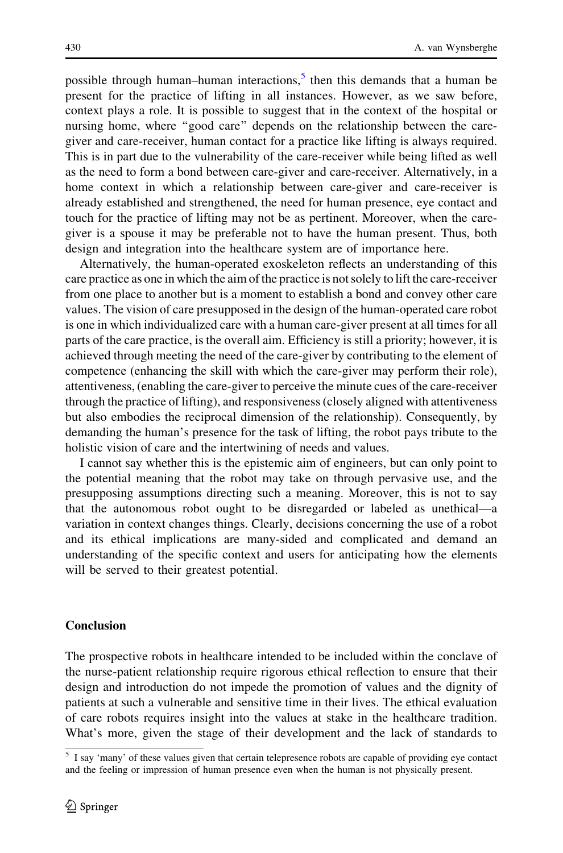possible through human–human interactions,<sup>5</sup> then this demands that a human be present for the practice of lifting in all instances. However, as we saw before, context plays a role. It is possible to suggest that in the context of the hospital or nursing home, where ''good care'' depends on the relationship between the caregiver and care-receiver, human contact for a practice like lifting is always required. This is in part due to the vulnerability of the care-receiver while being lifted as well as the need to form a bond between care-giver and care-receiver. Alternatively, in a home context in which a relationship between care-giver and care-receiver is already established and strengthened, the need for human presence, eye contact and touch for the practice of lifting may not be as pertinent. Moreover, when the caregiver is a spouse it may be preferable not to have the human present. Thus, both design and integration into the healthcare system are of importance here.

Alternatively, the human-operated exoskeleton reflects an understanding of this care practice as one in which the aim of the practice is not solely to lift the care-receiver from one place to another but is a moment to establish a bond and convey other care values. The vision of care presupposed in the design of the human-operated care robot is one in which individualized care with a human care-giver present at all times for all parts of the care practice, is the overall aim. Efficiency is still a priority; however, it is achieved through meeting the need of the care-giver by contributing to the element of competence (enhancing the skill with which the care-giver may perform their role), attentiveness, (enabling the care-giver to perceive the minute cues of the care-receiver through the practice of lifting), and responsiveness (closely aligned with attentiveness but also embodies the reciprocal dimension of the relationship). Consequently, by demanding the human's presence for the task of lifting, the robot pays tribute to the holistic vision of care and the intertwining of needs and values.

I cannot say whether this is the epistemic aim of engineers, but can only point to the potential meaning that the robot may take on through pervasive use, and the presupposing assumptions directing such a meaning. Moreover, this is not to say that the autonomous robot ought to be disregarded or labeled as unethical—a variation in context changes things. Clearly, decisions concerning the use of a robot and its ethical implications are many-sided and complicated and demand an understanding of the specific context and users for anticipating how the elements will be served to their greatest potential.

#### Conclusion

The prospective robots in healthcare intended to be included within the conclave of the nurse-patient relationship require rigorous ethical reflection to ensure that their design and introduction do not impede the promotion of values and the dignity of patients at such a vulnerable and sensitive time in their lives. The ethical evaluation of care robots requires insight into the values at stake in the healthcare tradition. What's more, given the stage of their development and the lack of standards to

 $\frac{5}{1}$  I say 'many' of these values given that certain telepresence robots are capable of providing eye contact and the feeling or impression of human presence even when the human is not physically present.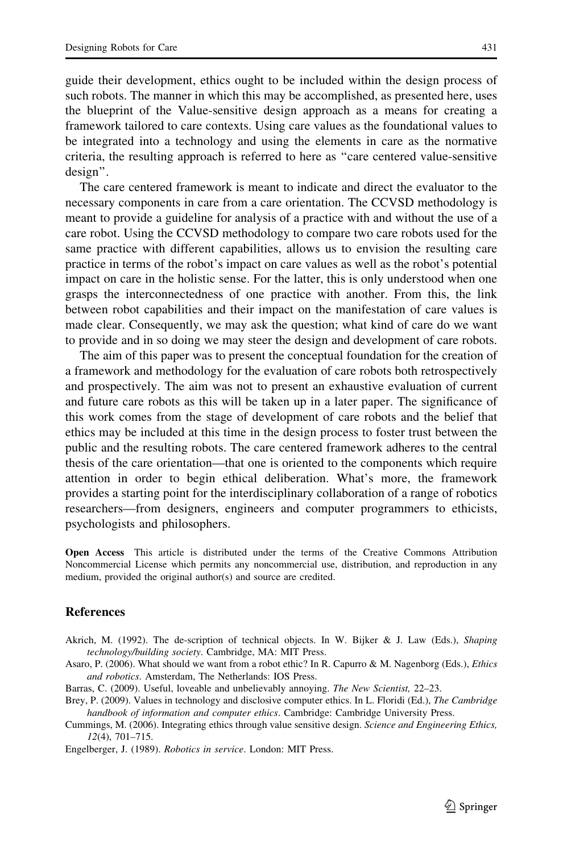<span id="page-24-0"></span>guide their development, ethics ought to be included within the design process of such robots. The manner in which this may be accomplished, as presented here, uses the blueprint of the Value-sensitive design approach as a means for creating a framework tailored to care contexts. Using care values as the foundational values to be integrated into a technology and using the elements in care as the normative criteria, the resulting approach is referred to here as ''care centered value-sensitive design''.

The care centered framework is meant to indicate and direct the evaluator to the necessary components in care from a care orientation. The CCVSD methodology is meant to provide a guideline for analysis of a practice with and without the use of a care robot. Using the CCVSD methodology to compare two care robots used for the same practice with different capabilities, allows us to envision the resulting care practice in terms of the robot's impact on care values as well as the robot's potential impact on care in the holistic sense. For the latter, this is only understood when one grasps the interconnectedness of one practice with another. From this, the link between robot capabilities and their impact on the manifestation of care values is made clear. Consequently, we may ask the question; what kind of care do we want to provide and in so doing we may steer the design and development of care robots.

The aim of this paper was to present the conceptual foundation for the creation of a framework and methodology for the evaluation of care robots both retrospectively and prospectively. The aim was not to present an exhaustive evaluation of current and future care robots as this will be taken up in a later paper. The significance of this work comes from the stage of development of care robots and the belief that ethics may be included at this time in the design process to foster trust between the public and the resulting robots. The care centered framework adheres to the central thesis of the care orientation—that one is oriented to the components which require attention in order to begin ethical deliberation. What's more, the framework provides a starting point for the interdisciplinary collaboration of a range of robotics researchers—from designers, engineers and computer programmers to ethicists, psychologists and philosophers.

Open Access This article is distributed under the terms of the Creative Commons Attribution Noncommercial License which permits any noncommercial use, distribution, and reproduction in any medium, provided the original author(s) and source are credited.

#### References

- Akrich, M. (1992). The de-scription of technical objects. In W. Bijker & J. Law (Eds.), Shaping technology/building society. Cambridge, MA: MIT Press.
- Asaro, P. (2006). What should we want from a robot ethic? In R. Capurro & M. Nagenborg (Eds.), Ethics and robotics. Amsterdam, The Netherlands: IOS Press.
- Barras, C. (2009). Useful, loveable and unbelievably annoying. The New Scientist, 22–23.
- Brey, P. (2009). Values in technology and disclosive computer ethics. In L. Floridi (Ed.), The Cambridge handbook of information and computer ethics. Cambridge: Cambridge University Press.
- Cummings, M. (2006). Integrating ethics through value sensitive design. Science and Engineering Ethics, 12(4), 701–715.

Engelberger, J. (1989). Robotics in service. London: MIT Press.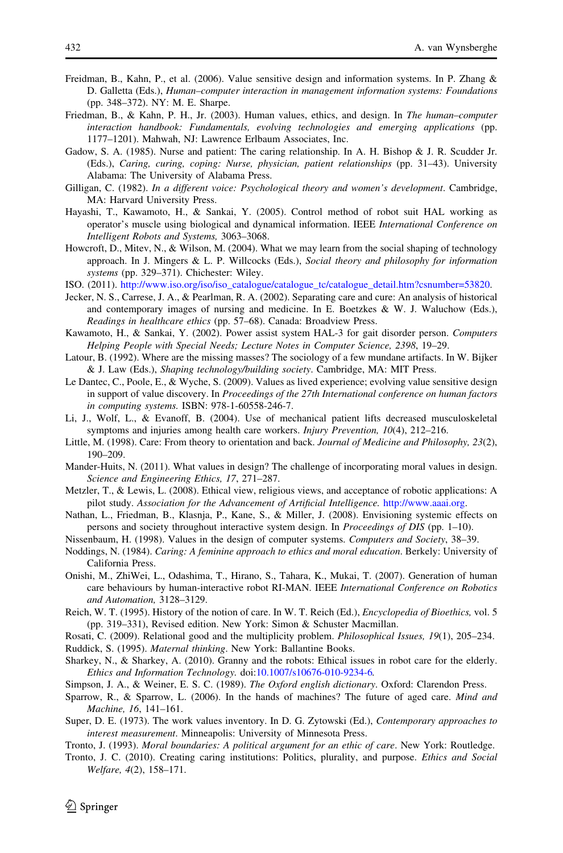- <span id="page-25-0"></span>Freidman, B., Kahn, P., et al. (2006). Value sensitive design and information systems. In P. Zhang & D. Galletta (Eds.), Human–computer interaction in management information systems: Foundations (pp. 348–372). NY: M. E. Sharpe.
- Friedman, B., & Kahn, P. H., Jr. (2003). Human values, ethics, and design. In The human–computer interaction handbook: Fundamentals, evolving technologies and emerging applications (pp. 1177–1201). Mahwah, NJ: Lawrence Erlbaum Associates, Inc.
- Gadow, S. A. (1985). Nurse and patient: The caring relationship. In A. H. Bishop & J. R. Scudder Jr. (Eds.), Caring, curing, coping: Nurse, physician, patient relationships (pp. 31–43). University Alabama: The University of Alabama Press.
- Gilligan, C. (1982). In a different voice: Psychological theory and women's development. Cambridge, MA: Harvard University Press.
- Hayashi, T., Kawamoto, H., & Sankai, Y. (2005). Control method of robot suit HAL working as operator's muscle using biological and dynamical information. IEEE International Conference on Intelligent Robots and Systems, 3063–3068.
- Howcroft, D., Mitev, N., & Wilson, M. (2004). What we may learn from the social shaping of technology approach. In J. Mingers & L. P. Willcocks (Eds.), Social theory and philosophy for information systems (pp. 329–371). Chichester: Wiley.
- ISO. (2011). [http://www.iso.org/iso/iso\\_catalogue/catalogue\\_tc/catalogue\\_detail.htm?csnumber=53820.](http://www.iso.org/iso/iso_catalogue/catalogue_tc/catalogue_detail.htm?csnumber=53820)
- Jecker, N. S., Carrese, J. A., & Pearlman, R. A. (2002). Separating care and cure: An analysis of historical and contemporary images of nursing and medicine. In E. Boetzkes & W. J. Waluchow (Eds.), Readings in healthcare ethics (pp. 57–68). Canada: Broadview Press.
- Kawamoto, H., & Sankai, Y. (2002). Power assist system HAL-3 for gait disorder person. Computers Helping People with Special Needs; Lecture Notes in Computer Science, 2398, 19–29.
- Latour, B. (1992). Where are the missing masses? The sociology of a few mundane artifacts. In W. Bijker & J. Law (Eds.), Shaping technology/building society. Cambridge, MA: MIT Press.
- Le Dantec, C., Poole, E., & Wyche, S. (2009). Values as lived experience; evolving value sensitive design in support of value discovery. In Proceedings of the 27th International conference on human factors in computing systems. ISBN: 978-1-60558-246-7.
- Li, J., Wolf, L., & Evanoff, B. (2004). Use of mechanical patient lifts decreased musculoskeletal symptoms and injuries among health care workers. Injury Prevention, 10(4), 212–216.
- Little, M. (1998). Care: From theory to orientation and back. Journal of Medicine and Philosophy, 23(2), 190–209.
- Mander-Huits, N. (2011). What values in design? The challenge of incorporating moral values in design. Science and Engineering Ethics, 17, 271–287.
- Metzler, T., & Lewis, L. (2008). Ethical view, religious views, and acceptance of robotic applications: A pilot study. Association for the Advancement of Artificial Intelligence. <http://www.aaai.org>.
- Nathan, L., Friedman, B., Klasnja, P., Kane, S., & Miller, J. (2008). Envisioning systemic effects on persons and society throughout interactive system design. In Proceedings of DIS (pp. 1–10).
- Nissenbaum, H. (1998). Values in the design of computer systems. Computers and Society, 38–39.
- Noddings, N. (1984). Caring: A feminine approach to ethics and moral education. Berkely: University of California Press.
- Onishi, M., ZhiWei, L., Odashima, T., Hirano, S., Tahara, K., Mukai, T. (2007). Generation of human care behaviours by human-interactive robot RI-MAN. IEEE International Conference on Robotics and Automation, 3128–3129.
- Reich, W. T. (1995). History of the notion of care. In W. T. Reich (Ed.), *Encyclopedia of Bioethics*, vol. 5 (pp. 319–331), Revised edition. New York: Simon & Schuster Macmillan.
- Rosati, C. (2009). Relational good and the multiplicity problem. Philosophical Issues, 19(1), 205–234.
- Ruddick, S. (1995). Maternal thinking. New York: Ballantine Books.
- Sharkey, N., & Sharkey, A. (2010). Granny and the robots: Ethical issues in robot care for the elderly. Ethics and Information Technology. doi[:10.1007/s10676-010-9234-6](http://dx.doi.org/10.1007/s10676-010-9234-6).
- Simpson, J. A., & Weiner, E. S. C. (1989). The Oxford english dictionary. Oxford: Clarendon Press.
- Sparrow, R., & Sparrow, L. (2006). In the hands of machines? The future of aged care. Mind and Machine, 16, 141–161.
- Super, D. E. (1973). The work values inventory. In D. G. Zytowski (Ed.), Contemporary approaches to interest measurement. Minneapolis: University of Minnesota Press.
- Tronto, J. (1993). Moral boundaries: A political argument for an ethic of care. New York: Routledge.
- Tronto, J. C. (2010). Creating caring institutions: Politics, plurality, and purpose. Ethics and Social Welfare, 4(2), 158–171.